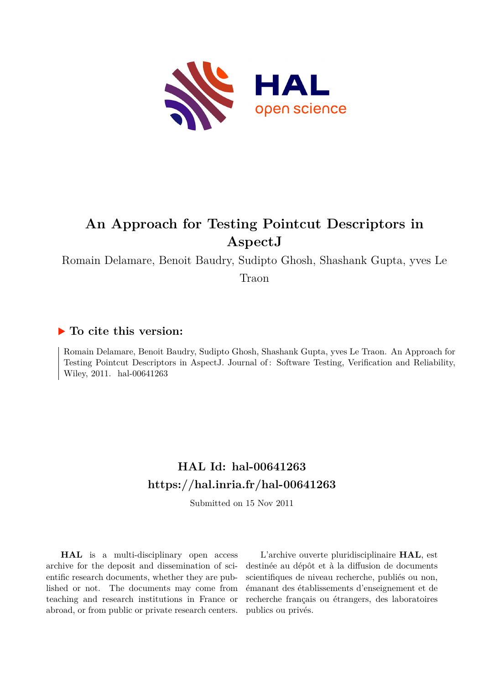

# **An Approach for Testing Pointcut Descriptors in AspectJ**

Romain Delamare, Benoit Baudry, Sudipto Ghosh, Shashank Gupta, yves Le

Traon

# **To cite this version:**

Romain Delamare, Benoit Baudry, Sudipto Ghosh, Shashank Gupta, yves Le Traon. An Approach for Testing Pointcut Descriptors in AspectJ. Journal of: Software Testing, Verification and Reliability, Wiley, 2011. hal-00641263

# **HAL Id: hal-00641263 <https://hal.inria.fr/hal-00641263>**

Submitted on 15 Nov 2011

**HAL** is a multi-disciplinary open access archive for the deposit and dissemination of scientific research documents, whether they are published or not. The documents may come from teaching and research institutions in France or abroad, or from public or private research centers.

L'archive ouverte pluridisciplinaire **HAL**, est destinée au dépôt et à la diffusion de documents scientifiques de niveau recherche, publiés ou non, émanant des établissements d'enseignement et de recherche français ou étrangers, des laboratoires publics ou privés.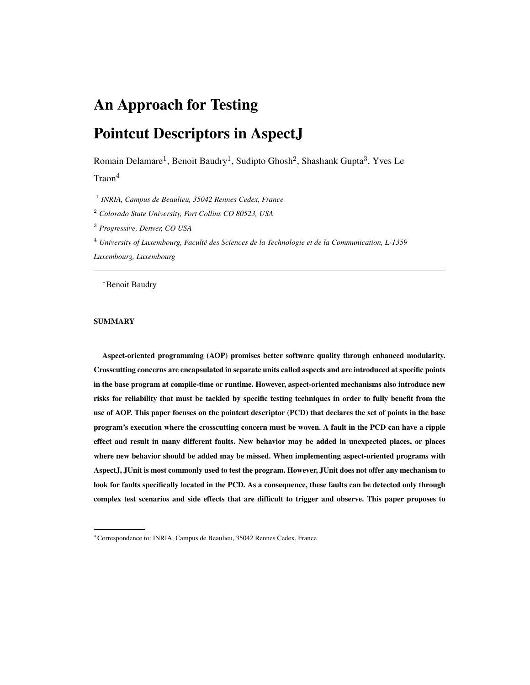# An Approach for Testing

# Pointcut Descriptors in AspectJ

Romain Delamare<sup>1</sup>, Benoit Baudry<sup>1</sup>, Sudipto Ghosh<sup>2</sup>, Shashank Gupta<sup>3</sup>, Yves Le

Traon<sup>4</sup>

<sup>1</sup> *INRIA, Campus de Beaulieu, 35042 Rennes Cedex, France*

<sup>2</sup> *Colorado State University, Fort Collins CO 80523, USA*

<sup>3</sup> *Progressive, Denver, CO USA*

<sup>4</sup> *University of Luxembourg, Faculte des Sciences de la Technologie et de la Communication, L-1359 ´ Luxembourg, Luxembourg*

<sup>∗</sup>Benoit Baudry

#### SUMMARY

Aspect-oriented programming (AOP) promises better software quality through enhanced modularity. Crosscutting concerns are encapsulated in separate units called aspects and are introduced at specific points in the base program at compile-time or runtime. However, aspect-oriented mechanisms also introduce new risks for reliability that must be tackled by specific testing techniques in order to fully benefit from the use of AOP. This paper focuses on the pointcut descriptor (PCD) that declares the set of points in the base program's execution where the crosscutting concern must be woven. A fault in the PCD can have a ripple effect and result in many different faults. New behavior may be added in unexpected places, or places where new behavior should be added may be missed. When implementing aspect-oriented programs with AspectJ, JUnit is most commonly used to test the program. However, JUnit does not offer any mechanism to look for faults specifically located in the PCD. As a consequence, these faults can be detected only through complex test scenarios and side effects that are difficult to trigger and observe. This paper proposes to

<sup>∗</sup>Correspondence to: INRIA, Campus de Beaulieu, 35042 Rennes Cedex, France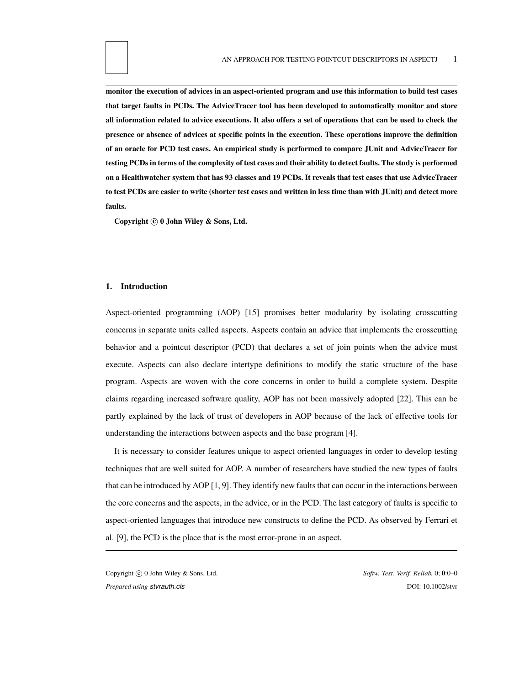monitor the execution of advices in an aspect-oriented program and use this information to build test cases that target faults in PCDs. The AdviceTracer tool has been developed to automatically monitor and store all information related to advice executions. It also offers a set of operations that can be used to check the presence or absence of advices at specific points in the execution. These operations improve the definition of an oracle for PCD test cases. An empirical study is performed to compare JUnit and AdviceTracer for testing PCDs in terms of the complexity of test cases and their ability to detect faults. The study is performed on a Healthwatcher system that has 93 classes and 19 PCDs. It reveals that test cases that use AdviceTracer to test PCDs are easier to write (shorter test cases and written in less time than with JUnit) and detect more faults.

Copyright  $\odot$  0 John Wiley & Sons, Ltd.

#### 1. Introduction

Aspect-oriented programming (AOP) [15] promises better modularity by isolating crosscutting concerns in separate units called aspects. Aspects contain an advice that implements the crosscutting behavior and a pointcut descriptor (PCD) that declares a set of join points when the advice must execute. Aspects can also declare intertype definitions to modify the static structure of the base program. Aspects are woven with the core concerns in order to build a complete system. Despite claims regarding increased software quality, AOP has not been massively adopted [22]. This can be partly explained by the lack of trust of developers in AOP because of the lack of effective tools for understanding the interactions between aspects and the base program [4].

It is necessary to consider features unique to aspect oriented languages in order to develop testing techniques that are well suited for AOP. A number of researchers have studied the new types of faults that can be introduced by AOP [1, 9]. They identify new faults that can occur in the interactions between the core concerns and the aspects, in the advice, or in the PCD. The last category of faults is specific to aspect-oriented languages that introduce new constructs to define the PCD. As observed by Ferrari et al. [9], the PCD is the place that is the most error-prone in an aspect.

*Prepared using stvrauth.cls* DOI: 10.1002/stvr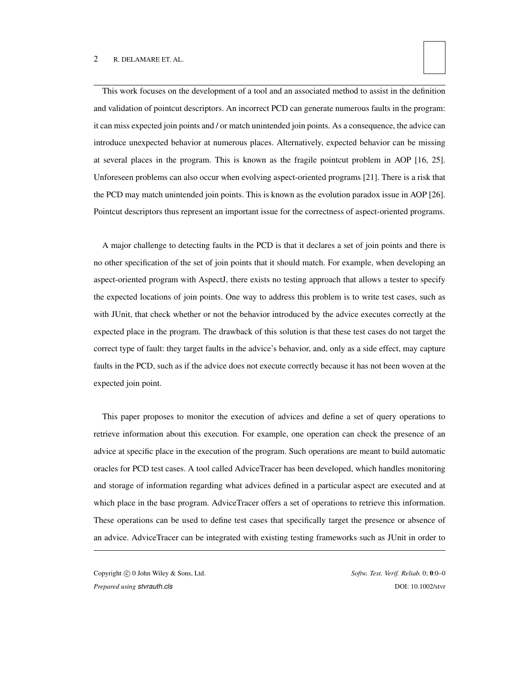#### 2 R. DELAMARE ET. AL.

This work focuses on the development of a tool and an associated method to assist in the definition and validation of pointcut descriptors. An incorrect PCD can generate numerous faults in the program: it can miss expected join points and / or match unintended join points. As a consequence, the advice can introduce unexpected behavior at numerous places. Alternatively, expected behavior can be missing at several places in the program. This is known as the fragile pointcut problem in AOP [16, 25]. Unforeseen problems can also occur when evolving aspect-oriented programs [21]. There is a risk that the PCD may match unintended join points. This is known as the evolution paradox issue in AOP [26]. Pointcut descriptors thus represent an important issue for the correctness of aspect-oriented programs.

A major challenge to detecting faults in the PCD is that it declares a set of join points and there is no other specification of the set of join points that it should match. For example, when developing an aspect-oriented program with AspectJ, there exists no testing approach that allows a tester to specify the expected locations of join points. One way to address this problem is to write test cases, such as with JUnit, that check whether or not the behavior introduced by the advice executes correctly at the expected place in the program. The drawback of this solution is that these test cases do not target the correct type of fault: they target faults in the advice's behavior, and, only as a side effect, may capture faults in the PCD, such as if the advice does not execute correctly because it has not been woven at the expected join point.

This paper proposes to monitor the execution of advices and define a set of query operations to retrieve information about this execution. For example, one operation can check the presence of an advice at specific place in the execution of the program. Such operations are meant to build automatic oracles for PCD test cases. A tool called AdviceTracer has been developed, which handles monitoring and storage of information regarding what advices defined in a particular aspect are executed and at which place in the base program. AdviceTracer offers a set of operations to retrieve this information. These operations can be used to define test cases that specifically target the presence or absence of an advice. AdviceTracer can be integrated with existing testing frameworks such as JUnit in order to

Copyright  $\odot$  0 John Wiley & Sons, Ltd. **Software Example 2018** Softw. Test. Verif. Reliab. 0; 0:0–0 *Prepared using stvrauth.cls* DOI: 10.1002/stvr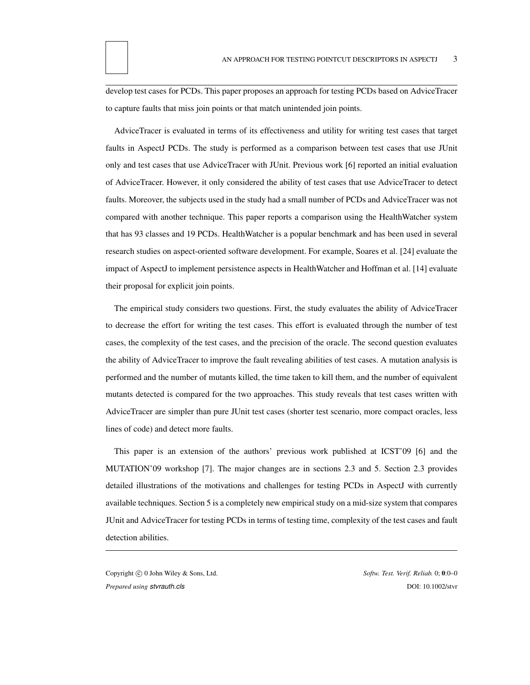develop test cases for PCDs. This paper proposes an approach for testing PCDs based on AdviceTracer to capture faults that miss join points or that match unintended join points.

AdviceTracer is evaluated in terms of its effectiveness and utility for writing test cases that target faults in AspectJ PCDs. The study is performed as a comparison between test cases that use JUnit only and test cases that use AdviceTracer with JUnit. Previous work [6] reported an initial evaluation of AdviceTracer. However, it only considered the ability of test cases that use AdviceTracer to detect faults. Moreover, the subjects used in the study had a small number of PCDs and AdviceTracer was not compared with another technique. This paper reports a comparison using the HealthWatcher system that has 93 classes and 19 PCDs. HealthWatcher is a popular benchmark and has been used in several research studies on aspect-oriented software development. For example, Soares et al. [24] evaluate the impact of AspectJ to implement persistence aspects in HealthWatcher and Hoffman et al. [14] evaluate their proposal for explicit join points.

The empirical study considers two questions. First, the study evaluates the ability of AdviceTracer to decrease the effort for writing the test cases. This effort is evaluated through the number of test cases, the complexity of the test cases, and the precision of the oracle. The second question evaluates the ability of AdviceTracer to improve the fault revealing abilities of test cases. A mutation analysis is performed and the number of mutants killed, the time taken to kill them, and the number of equivalent mutants detected is compared for the two approaches. This study reveals that test cases written with AdviceTracer are simpler than pure JUnit test cases (shorter test scenario, more compact oracles, less lines of code) and detect more faults.

This paper is an extension of the authors' previous work published at ICST'09 [6] and the MUTATION'09 workshop [7]. The major changes are in sections 2.3 and 5. Section 2.3 provides detailed illustrations of the motivations and challenges for testing PCDs in AspectJ with currently available techniques. Section 5 is a completely new empirical study on a mid-size system that compares JUnit and AdviceTracer for testing PCDs in terms of testing time, complexity of the test cases and fault detection abilities.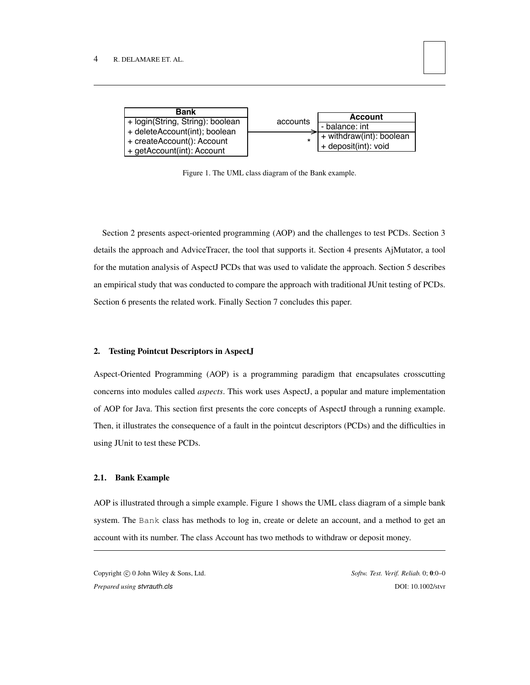

Figure 1. The UML class diagram of the Bank example.

Section 2 presents aspect-oriented programming (AOP) and the challenges to test PCDs. Section 3 details the approach and AdviceTracer, the tool that supports it. Section 4 presents AjMutator, a tool for the mutation analysis of AspectJ PCDs that was used to validate the approach. Section 5 describes an empirical study that was conducted to compare the approach with traditional JUnit testing of PCDs. Section 6 presents the related work. Finally Section 7 concludes this paper.

#### 2. Testing Pointcut Descriptors in AspectJ

Aspect-Oriented Programming (AOP) is a programming paradigm that encapsulates crosscutting concerns into modules called *aspects*. This work uses AspectJ, a popular and mature implementation of AOP for Java. This section first presents the core concepts of AspectJ through a running example. Then, it illustrates the consequence of a fault in the pointcut descriptors (PCDs) and the difficulties in using JUnit to test these PCDs.

#### 2.1. Bank Example

AOP is illustrated through a simple example. Figure 1 shows the UML class diagram of a simple bank system. The Bank class has methods to log in, create or delete an account, and a method to get an account with its number. The class Account has two methods to withdraw or deposit money.

Copyright  $\odot$  0 John Wiley & Sons, Ltd. **Software Example 2018** Softw. Test. Verif. Reliab. 0; 0:0–0 *Prepared using stvrauth.cls* DOI: 10.1002/stvr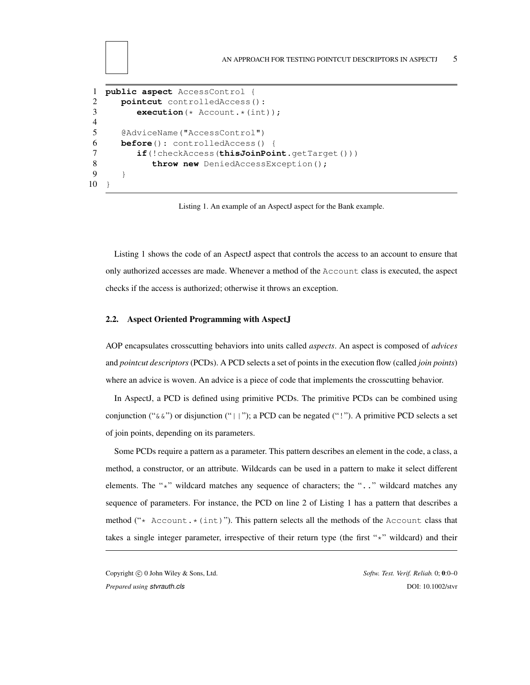```
1 public aspect AccessControl {
2 pointcut controlledAccess():
3 execution (* Account.*(int));
4
5 @AdviceName("AccessControl")
6 before(): controlledAccess() {
7 if(!checkAccess(thisJoinPoint.getTarget()))
8 throw new DeniedAccessException();
9 }
10 }
```
Listing 1. An example of an AspectJ aspect for the Bank example.

Listing 1 shows the code of an AspectJ aspect that controls the access to an account to ensure that only authorized accesses are made. Whenever a method of the Account class is executed, the aspect checks if the access is authorized; otherwise it throws an exception.

#### 2.2. Aspect Oriented Programming with AspectJ

AOP encapsulates crosscutting behaviors into units called *aspects*. An aspect is composed of *advices* and *pointcut descriptors* (PCDs). A PCD selects a set of points in the execution flow (called *join points*) where an advice is woven. An advice is a piece of code that implements the crosscutting behavior.

In AspectJ, a PCD is defined using primitive PCDs. The primitive PCDs can be combined using conjunction (" $\&\&\text{$ ") or disjunction ("||"); a PCD can be negated ("!"). A primitive PCD selects a set of join points, depending on its parameters.

Some PCDs require a pattern as a parameter. This pattern describes an element in the code, a class, a method, a constructor, or an attribute. Wildcards can be used in a pattern to make it select different elements. The "\*" wildcard matches any sequence of characters; the "..." wildcard matches any sequence of parameters. For instance, the PCD on line 2 of Listing 1 has a pattern that describes a method (" $*$  Account. $*$ (int)"). This pattern selects all the methods of the Account class that takes a single integer parameter, irrespective of their return type (the first "\*" wildcard) and their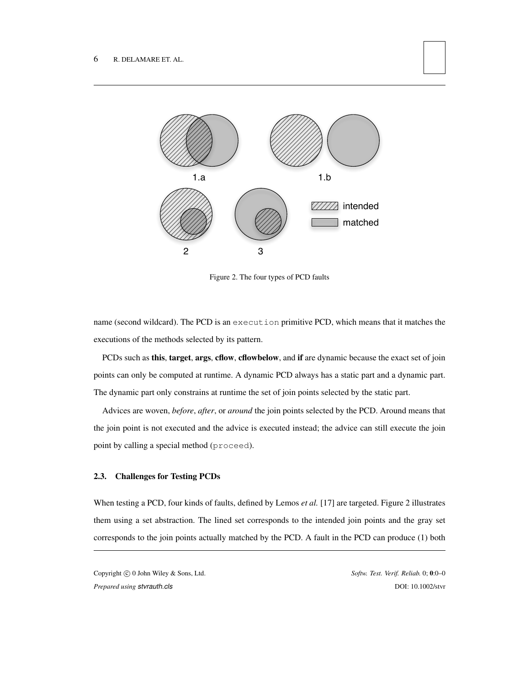

Figure 2. The four types of PCD faults

name (second wildcard). The PCD is an execution primitive PCD, which means that it matches the executions of the methods selected by its pattern.

PCDs such as this, target, args, cflow, cflowbelow, and if are dynamic because the exact set of join points can only be computed at runtime. A dynamic PCD always has a static part and a dynamic part. The dynamic part only constrains at runtime the set of join points selected by the static part.

Advices are woven, *before*, *after*, or *around* the join points selected by the PCD. Around means that the join point is not executed and the advice is executed instead; the advice can still execute the join point by calling a special method (proceed).

#### 2.3. Challenges for Testing PCDs

When testing a PCD, four kinds of faults, defined by Lemos *et al.* [17] are targeted. Figure 2 illustrates them using a set abstraction. The lined set corresponds to the intended join points and the gray set corresponds to the join points actually matched by the PCD. A fault in the PCD can produce (1) both

Copyright  $\odot$  0 John Wiley & Sons, Ltd. **Software Example 20** Softw. Test. Verif. Reliab. 0; 0:0–0 *Prepared using stvrauth.cls* DOI: 10.1002/stvr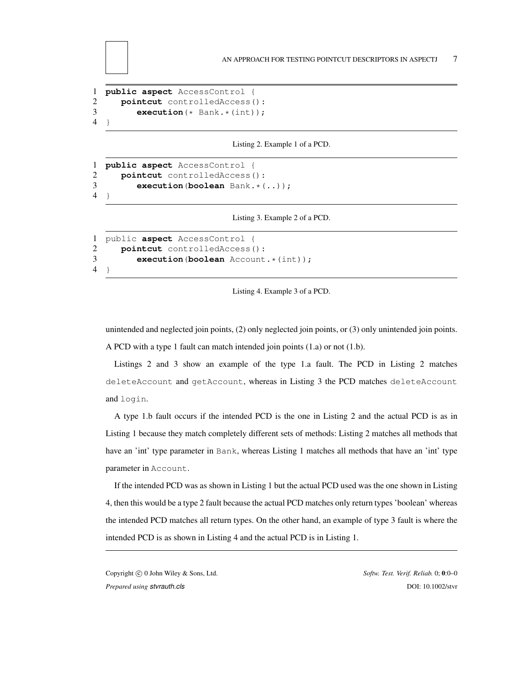

```
1 public aspect AccessControl {
2 pointcut controlledAccess():
3 execution (* Bank.*(int));
\overline{4}
```
Listing 2. Example 1 of a PCD.

```
1 public aspect AccessControl {
2 pointcut controlledAccess():
3 execution(boolean Bank.*(..));
\overline{4}
```
Listing 3. Example 2 of a PCD.

```
1 public aspect AccessControl {
2 pointcut controlledAccess():
3 execution(boolean Account.*(int));
4 }
```


unintended and neglected join points, (2) only neglected join points, or (3) only unintended join points. A PCD with a type 1 fault can match intended join points (1.a) or not (1.b).

Listings 2 and 3 show an example of the type 1.a fault. The PCD in Listing 2 matches deleteAccount and getAccount, whereas in Listing 3 the PCD matches deleteAccount and login.

A type 1.b fault occurs if the intended PCD is the one in Listing 2 and the actual PCD is as in Listing 1 because they match completely different sets of methods: Listing 2 matches all methods that have an 'int' type parameter in Bank, whereas Listing 1 matches all methods that have an 'int' type parameter in Account.

If the intended PCD was as shown in Listing 1 but the actual PCD used was the one shown in Listing 4, then this would be a type 2 fault because the actual PCD matches only return types 'boolean' whereas the intended PCD matches all return types. On the other hand, an example of type 3 fault is where the intended PCD is as shown in Listing 4 and the actual PCD is in Listing 1.

*Prepared using stvrauth.cls* DOI: 10.1002/stvr

Copyright  $\odot$  0 John Wiley & Sons, Ltd. **Software Example 2018** Softw. Test. Verif. Reliab. 0; 0:0–0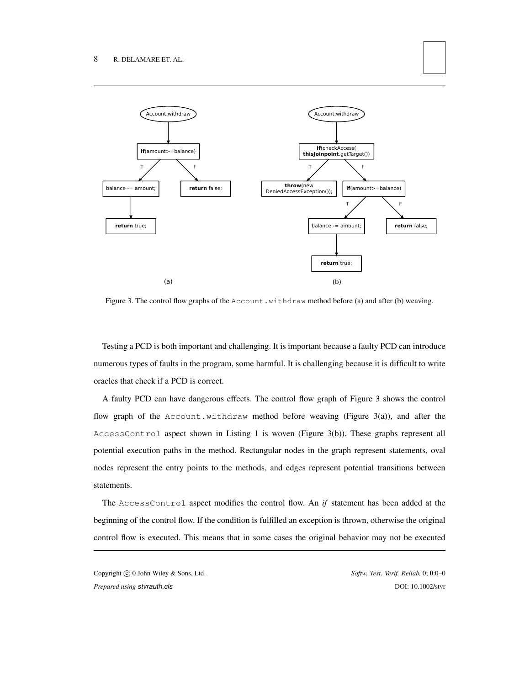

Figure 3. The control flow graphs of the Account.withdraw method before (a) and after (b) weaving.

Testing a PCD is both important and challenging. It is important because a faulty PCD can introduce numerous types of faults in the program, some harmful. It is challenging because it is difficult to write oracles that check if a PCD is correct.

A faulty PCD can have dangerous effects. The control flow graph of Figure 3 shows the control flow graph of the Account.withdraw method before weaving (Figure 3(a)), and after the AccessControl aspect shown in Listing 1 is woven (Figure 3(b)). These graphs represent all potential execution paths in the method. Rectangular nodes in the graph represent statements, oval nodes represent the entry points to the methods, and edges represent potential transitions between statements.

The AccessControl aspect modifies the control flow. An *if* statement has been added at the beginning of the control flow. If the condition is fulfilled an exception is thrown, otherwise the original control flow is executed. This means that in some cases the original behavior may not be executed

Copyright  $\odot$  0 John Wiley & Sons, Ltd. **Software Example 20** Softw. Test. Verif. Reliab. 0; 0:0–0 *Prepared using stvrauth.cls* DOI: 10.1002/stvr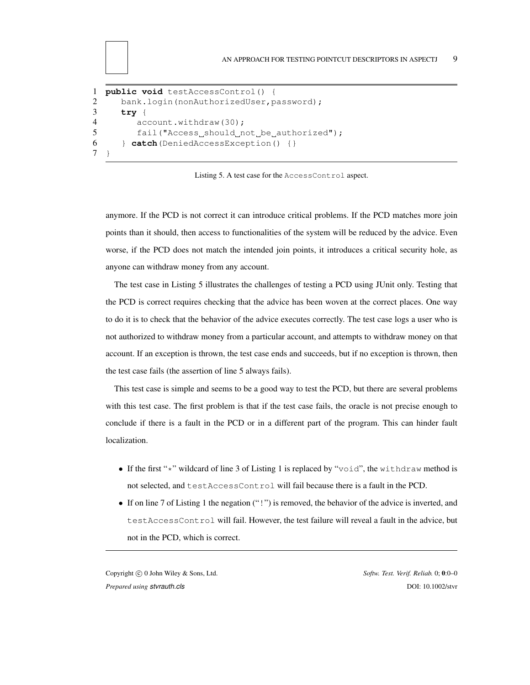```
1 public void testAccessControl() {
2 bank.login(nonAuthorizedUser,password);
3 try {
4 account.withdraw(30);
5 fail("Access_should_not_be_authorized");
6 } catch(DeniedAccessException() {}
7 }
```
Listing 5. A test case for the AccessControl aspect.

anymore. If the PCD is not correct it can introduce critical problems. If the PCD matches more join points than it should, then access to functionalities of the system will be reduced by the advice. Even worse, if the PCD does not match the intended join points, it introduces a critical security hole, as anyone can withdraw money from any account.

The test case in Listing 5 illustrates the challenges of testing a PCD using JUnit only. Testing that the PCD is correct requires checking that the advice has been woven at the correct places. One way to do it is to check that the behavior of the advice executes correctly. The test case logs a user who is not authorized to withdraw money from a particular account, and attempts to withdraw money on that account. If an exception is thrown, the test case ends and succeeds, but if no exception is thrown, then the test case fails (the assertion of line 5 always fails).

This test case is simple and seems to be a good way to test the PCD, but there are several problems with this test case. The first problem is that if the test case fails, the oracle is not precise enough to conclude if there is a fault in the PCD or in a different part of the program. This can hinder fault localization.

- If the first "\*" wildcard of line 3 of Listing 1 is replaced by "void", the withdraw method is not selected, and testAccessControl will fail because there is a fault in the PCD.
- If on line 7 of Listing 1 the negation ("!") is removed, the behavior of the advice is inverted, and testAccessControl will fail. However, the test failure will reveal a fault in the advice, but not in the PCD, which is correct.

Copyright  $\odot$  0 John Wiley & Sons, Ltd. **Software Example 20** Softw. Test. Verif. Reliab. 0; 0:0–0 *Prepared using stvrauth.cls* DOI: 10.1002/stvr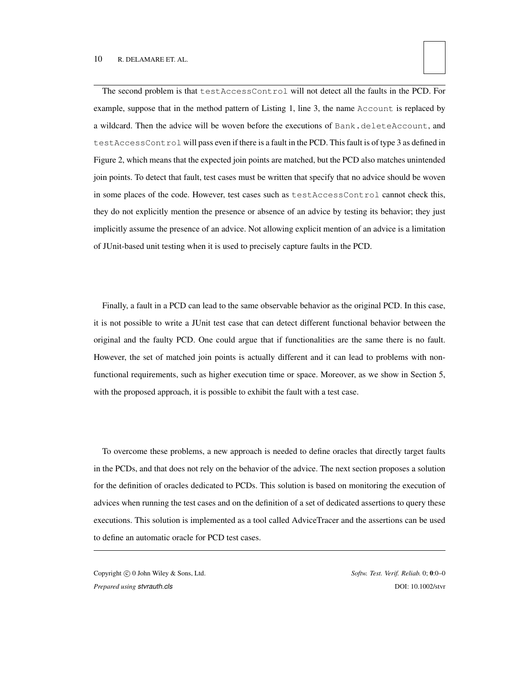The second problem is that testAccessControl will not detect all the faults in the PCD. For example, suppose that in the method pattern of Listing 1, line 3, the name Account is replaced by a wildcard. Then the advice will be woven before the executions of Bank.deleteAccount, and testAccessControl will pass even if there is a fault in the PCD. This fault is of type 3 as defined in Figure 2, which means that the expected join points are matched, but the PCD also matches unintended join points. To detect that fault, test cases must be written that specify that no advice should be woven in some places of the code. However, test cases such as testAccessControl cannot check this, they do not explicitly mention the presence or absence of an advice by testing its behavior; they just implicitly assume the presence of an advice. Not allowing explicit mention of an advice is a limitation of JUnit-based unit testing when it is used to precisely capture faults in the PCD.

Finally, a fault in a PCD can lead to the same observable behavior as the original PCD. In this case, it is not possible to write a JUnit test case that can detect different functional behavior between the original and the faulty PCD. One could argue that if functionalities are the same there is no fault. However, the set of matched join points is actually different and it can lead to problems with nonfunctional requirements, such as higher execution time or space. Moreover, as we show in Section 5, with the proposed approach, it is possible to exhibit the fault with a test case.

To overcome these problems, a new approach is needed to define oracles that directly target faults in the PCDs, and that does not rely on the behavior of the advice. The next section proposes a solution for the definition of oracles dedicated to PCDs. This solution is based on monitoring the execution of advices when running the test cases and on the definition of a set of dedicated assertions to query these executions. This solution is implemented as a tool called AdviceTracer and the assertions can be used to define an automatic oracle for PCD test cases.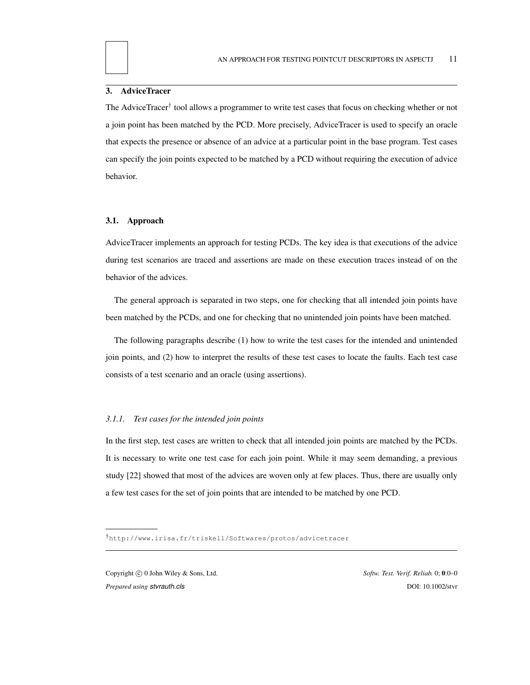## 3. AdviceTracer

The AdviceTracer<sup>†</sup> tool allows a programmer to write test cases that focus on checking whether or not a join point has been matched by the PCD. More precisely, AdviceTracer is used to specify an oracle that expects the presence or absence of an advice at a particular point in the base program. Test cases can specify the join points expected to be matched by a PCD without requiring the execution of advice behavior.

#### 3.1. Approach

AdviceTracer implements an approach for testing PCDs. The key idea is that executions of the advice during test scenarios are traced and assertions are made on these execution traces instead of on the behavior of the advices.

The general approach is separated in two steps, one for checking that all intended join points have been matched by the PCDs, and one for checking that no unintended join points have been matched.

The following paragraphs describe (1) how to write the test cases for the intended and unintended join points, and (2) how to interpret the results of these test cases to locate the faults. Each test case consists of a test scenario and an oracle (using assertions).

#### *3.1.1. Test cases for the intended join points*

In the first step, test cases are written to check that all intended join points are matched by the PCDs. It is necessary to write one test case for each join point. While it may seem demanding, a previous study [22] showed that most of the advices are woven only at few places. Thus, there are usually only a few test cases for the set of join points that are intended to be matched by one PCD.

<sup>†</sup>http://www.irisa.fr/triskell/Softwares/protos/advicetracer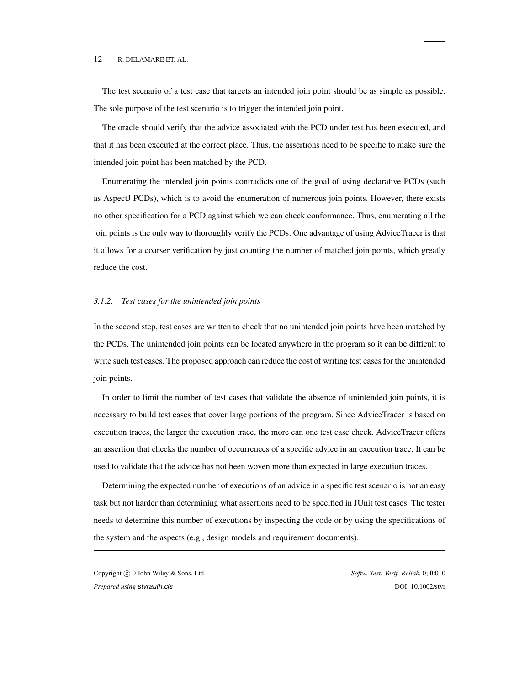The test scenario of a test case that targets an intended join point should be as simple as possible. The sole purpose of the test scenario is to trigger the intended join point.

The oracle should verify that the advice associated with the PCD under test has been executed, and that it has been executed at the correct place. Thus, the assertions need to be specific to make sure the intended join point has been matched by the PCD.

Enumerating the intended join points contradicts one of the goal of using declarative PCDs (such as AspectJ PCDs), which is to avoid the enumeration of numerous join points. However, there exists no other specification for a PCD against which we can check conformance. Thus, enumerating all the join points is the only way to thoroughly verify the PCDs. One advantage of using AdviceTracer is that it allows for a coarser verification by just counting the number of matched join points, which greatly reduce the cost.

#### *3.1.2. Test cases for the unintended join points*

In the second step, test cases are written to check that no unintended join points have been matched by the PCDs. The unintended join points can be located anywhere in the program so it can be difficult to write such test cases. The proposed approach can reduce the cost of writing test cases for the unintended join points.

In order to limit the number of test cases that validate the absence of unintended join points, it is necessary to build test cases that cover large portions of the program. Since AdviceTracer is based on execution traces, the larger the execution trace, the more can one test case check. AdviceTracer offers an assertion that checks the number of occurrences of a specific advice in an execution trace. It can be used to validate that the advice has not been woven more than expected in large execution traces.

Determining the expected number of executions of an advice in a specific test scenario is not an easy task but not harder than determining what assertions need to be specified in JUnit test cases. The tester needs to determine this number of executions by inspecting the code or by using the specifications of the system and the aspects (e.g., design models and requirement documents).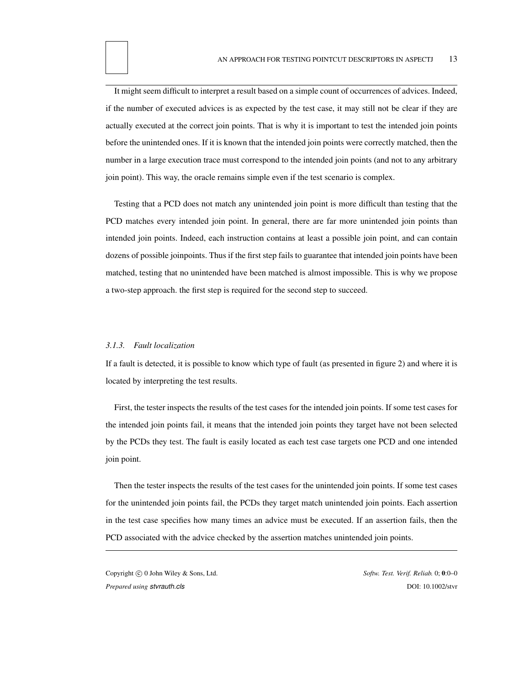It might seem difficult to interpret a result based on a simple count of occurrences of advices. Indeed, if the number of executed advices is as expected by the test case, it may still not be clear if they are actually executed at the correct join points. That is why it is important to test the intended join points before the unintended ones. If it is known that the intended join points were correctly matched, then the number in a large execution trace must correspond to the intended join points (and not to any arbitrary join point). This way, the oracle remains simple even if the test scenario is complex.

Testing that a PCD does not match any unintended join point is more difficult than testing that the PCD matches every intended join point. In general, there are far more unintended join points than intended join points. Indeed, each instruction contains at least a possible join point, and can contain dozens of possible joinpoints. Thus if the first step fails to guarantee that intended join points have been matched, testing that no unintended have been matched is almost impossible. This is why we propose a two-step approach. the first step is required for the second step to succeed.

#### *3.1.3. Fault localization*

If a fault is detected, it is possible to know which type of fault (as presented in figure 2) and where it is located by interpreting the test results.

First, the tester inspects the results of the test cases for the intended join points. If some test cases for the intended join points fail, it means that the intended join points they target have not been selected by the PCDs they test. The fault is easily located as each test case targets one PCD and one intended join point.

Then the tester inspects the results of the test cases for the unintended join points. If some test cases for the unintended join points fail, the PCDs they target match unintended join points. Each assertion in the test case specifies how many times an advice must be executed. If an assertion fails, then the PCD associated with the advice checked by the assertion matches unintended join points.

*Prepared using stvrauth.cls* DOI: 10.1002/stvr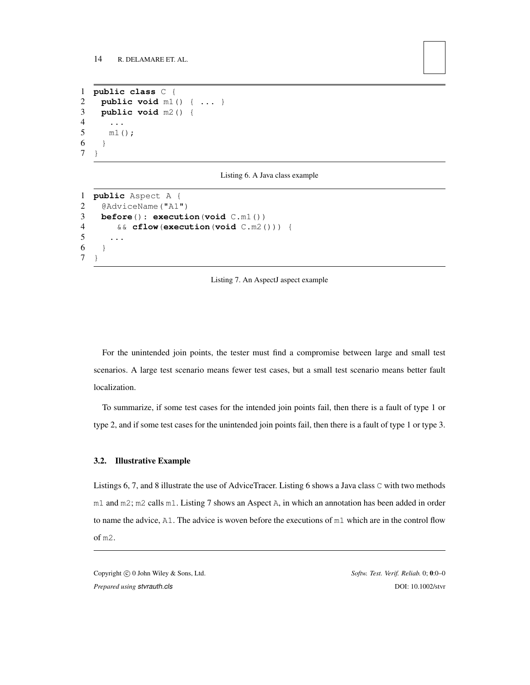14 R. DELAMARE ET. AL.

```
1 public class C {
2 public void m1() { ... }
3 public void m2() {
4 ...
5 m1();
6 }
7 }
```
Listing 6. A Java class example

```
1 public Aspect A {
2 @AdviceName("A1")
3 before(): execution(void C.m1())
4 && cflow(execution(void C.m2())) {
5 ...
6 }
7 }
```


For the unintended join points, the tester must find a compromise between large and small test scenarios. A large test scenario means fewer test cases, but a small test scenario means better fault localization.

To summarize, if some test cases for the intended join points fail, then there is a fault of type 1 or type 2, and if some test cases for the unintended join points fail, then there is a fault of type 1 or type 3.

### 3.2. Illustrative Example

Listings 6, 7, and 8 illustrate the use of AdviceTracer. Listing 6 shows a Java class C with two methods m1 and m2; m2 calls m1. Listing 7 shows an Aspect A, in which an annotation has been added in order to name the advice, A1. The advice is woven before the executions of m1 which are in the control flow of m2.

Copyright  $@$  0 John Wiley & Sons, Ltd.  $Softw. Test. Verify. Reliab. 0; 0:0-0$ *Prepared using stvrauth.cls* DOI: 10.1002/stvr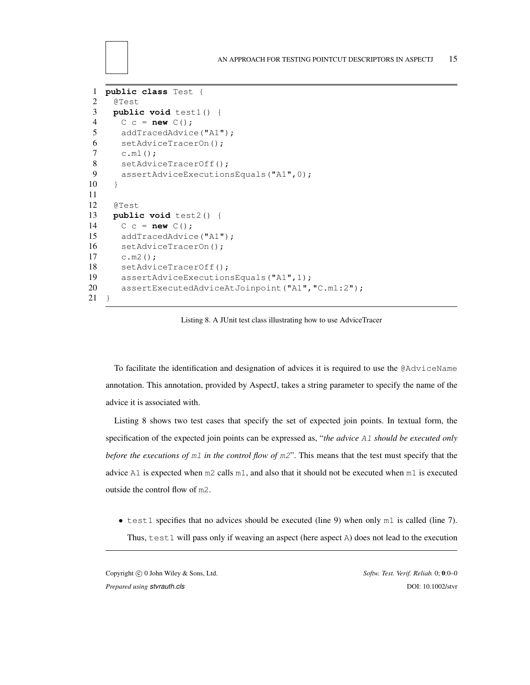```
1 public class Test {
2 @Test
3 public void test1() {
4 Cc= new C();
5 addTracedAdvice("A1");
6 setAdviceTracerOn();
7 c.m1();
8 setAdviceTracerOff();
9 assertAdviceExecutionsEquals("A1", 0);
10 }
11
12 @Test
13 public void test2() {
14 Cc= new C();
15 addTracedAdvice("A1");
16 setAdviceTracerOn();
17 c.m2();
18 setAdviceTracerOff();
19 assertAdviceExecutionsEquals("A1",1);
20 assertExecutedAdviceAtJoinpoint ("A1", "C.m1:2");
21 }
```
Listing 8. A JUnit test class illustrating how to use AdviceTracer

To facilitate the identification and designation of advices it is required to use the @AdviceName annotation. This annotation, provided by AspectJ, takes a string parameter to specify the name of the advice it is associated with.

Listing 8 shows two test cases that specify the set of expected join points. In textual form, the specification of the expected join points can be expressed as, "*the advice A1 should be executed only before the executions of m1 in the control flow of m2*". This means that the test must specify that the advice A1 is expected when  $m2$  calls  $m1$ , and also that it should not be executed when  $m1$  is executed outside the control flow of m2.

• test1 specifies that no advices should be executed (line 9) when only m1 is called (line 7). Thus, test1 will pass only if weaving an aspect (here aspect A) does not lead to the execution

Copyright  $\odot$  0 John Wiley & Sons, Ltd. **Software Example 20** Softw. Test. Verif. Reliab. 0; 0:0–0 *Prepared using stvrauth.cls* DOI: 10.1002/stvr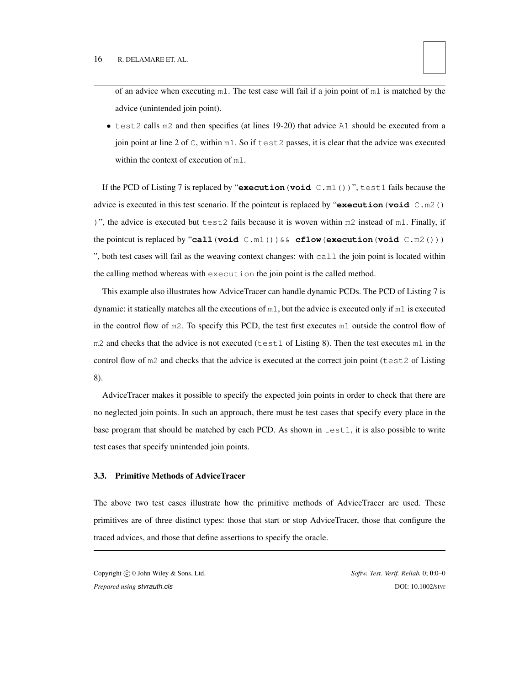of an advice when executing  $m_1$ . The test case will fail if a join point of  $m_1$  is matched by the advice (unintended join point).

• test 2 calls m2 and then specifies (at lines 19-20) that advice A1 should be executed from a join point at line 2 of C, within m1. So if test2 passes, it is clear that the advice was executed within the context of execution of  $m1$ .

If the PCD of Listing 7 is replaced by "**execution**(**void** C.m1())", test1 fails because the advice is executed in this test scenario. If the pointcut is replaced by "**execution**(**void** C.m2() )", the advice is executed but  $test2$  fails because it is woven within  $m2$  instead of  $m1$ . Finally, if the pointcut is replaced by "**call**(**void** C.m1())&& **cflow**(**execution**(**void** C.m2())) ", both test cases will fail as the weaving context changes: with call the join point is located within the calling method whereas with execution the join point is the called method.

This example also illustrates how AdviceTracer can handle dynamic PCDs. The PCD of Listing 7 is dynamic: it statically matches all the executions of m1, but the advice is executed only if m1 is executed in the control flow of m2. To specify this PCD, the test first executes m1 outside the control flow of  $m2$  and checks that the advice is not executed (test1 of Listing 8). Then the test executes  $m1$  in the control flow of m2 and checks that the advice is executed at the correct join point (test2 of Listing 8).

AdviceTracer makes it possible to specify the expected join points in order to check that there are no neglected join points. In such an approach, there must be test cases that specify every place in the base program that should be matched by each PCD. As shown in test1, it is also possible to write test cases that specify unintended join points.

## 3.3. Primitive Methods of AdviceTracer

The above two test cases illustrate how the primitive methods of AdviceTracer are used. These primitives are of three distinct types: those that start or stop AdviceTracer, those that configure the traced advices, and those that define assertions to specify the oracle.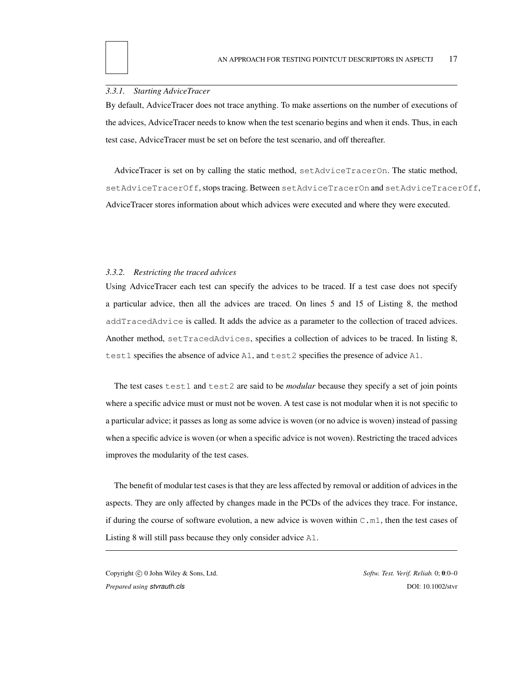# *3.3.1. Starting AdviceTracer*

By default, AdviceTracer does not trace anything. To make assertions on the number of executions of the advices, AdviceTracer needs to know when the test scenario begins and when it ends. Thus, in each test case, AdviceTracer must be set on before the test scenario, and off thereafter.

AdviceTracer is set on by calling the static method, setAdviceTracerOn. The static method, setAdviceTracerOff, stops tracing. Between setAdviceTracerOn and setAdviceTracerOff, AdviceTracer stores information about which advices were executed and where they were executed.

#### *3.3.2. Restricting the traced advices*

Using AdviceTracer each test can specify the advices to be traced. If a test case does not specify a particular advice, then all the advices are traced. On lines 5 and 15 of Listing 8, the method addTracedAdvice is called. It adds the advice as a parameter to the collection of traced advices. Another method, setTracedAdvices, specifies a collection of advices to be traced. In listing 8, test1 specifies the absence of advice A1, and test2 specifies the presence of advice A1.

The test cases test1 and test2 are said to be *modular* because they specify a set of join points where a specific advice must or must not be woven. A test case is not modular when it is not specific to a particular advice; it passes as long as some advice is woven (or no advice is woven) instead of passing when a specific advice is woven (or when a specific advice is not woven). Restricting the traced advices improves the modularity of the test cases.

The benefit of modular test cases is that they are less affected by removal or addition of advices in the aspects. They are only affected by changes made in the PCDs of the advices they trace. For instance, if during the course of software evolution, a new advice is woven within  $\mathbb{C} \cdot m_1$ , then the test cases of Listing 8 will still pass because they only consider advice A1.

Copyright  $\odot$  0 John Wiley & Sons, Ltd. **Software Example 20** Softw. Test. Verif. Reliab. 0; 0:0–0 *Prepared using stvrauth.cls* DOI: 10.1002/stvr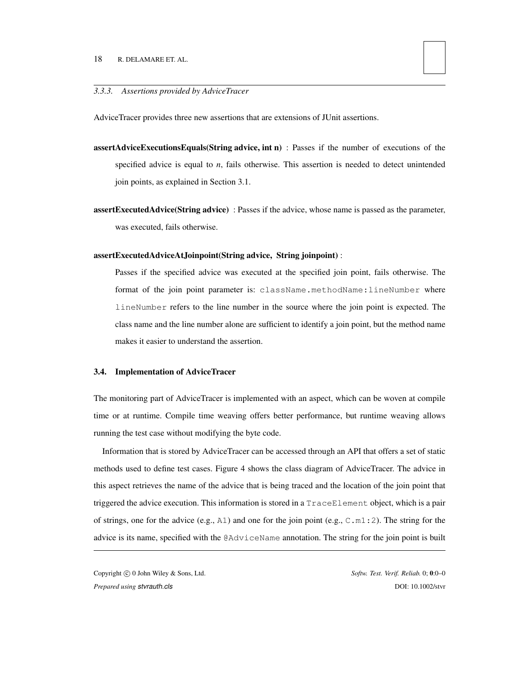# *3.3.3. Assertions provided by AdviceTracer*

AdviceTracer provides three new assertions that are extensions of JUnit assertions.

- assertAdviceExecutionsEquals(String advice, int n) : Passes if the number of executions of the specified advice is equal to *n*, fails otherwise. This assertion is needed to detect unintended join points, as explained in Section 3.1.
- assertExecutedAdvice(String advice) : Passes if the advice, whose name is passed as the parameter, was executed, fails otherwise.

#### assertExecutedAdviceAtJoinpoint(String advice, String joinpoint) :

Passes if the specified advice was executed at the specified join point, fails otherwise. The format of the join point parameter is: className.methodName:lineNumber where lineNumber refers to the line number in the source where the join point is expected. The class name and the line number alone are sufficient to identify a join point, but the method name makes it easier to understand the assertion.

#### 3.4. Implementation of AdviceTracer

The monitoring part of AdviceTracer is implemented with an aspect, which can be woven at compile time or at runtime. Compile time weaving offers better performance, but runtime weaving allows running the test case without modifying the byte code.

Information that is stored by AdviceTracer can be accessed through an API that offers a set of static methods used to define test cases. Figure 4 shows the class diagram of AdviceTracer. The advice in this aspect retrieves the name of the advice that is being traced and the location of the join point that triggered the advice execution. This information is stored in a TraceElement object, which is a pair of strings, one for the advice (e.g., A1) and one for the join point (e.g.,  $C \cdot m1:2$ ). The string for the advice is its name, specified with the @AdviceName annotation. The string for the join point is built

Copyright  $\odot$  0 John Wiley & Sons, Ltd. **Software Example 2018** Softw. Test. Verif. Reliab. 0; 0:0–0 *Prepared using stvrauth.cls* DOI: 10.1002/stvr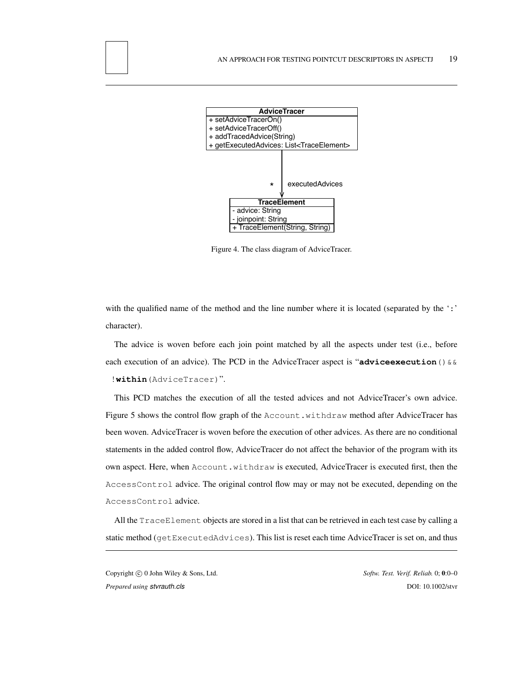

Figure 4. The class diagram of AdviceTracer.

with the qualified name of the method and the line number where it is located (separated by the ':' character).

The advice is woven before each join point matched by all the aspects under test (i.e., before each execution of an advice). The PCD in the AdviceTracer aspect is "**adviceexecution** ()  $&\&$ 

```
!within(AdviceTracer)".
```
This PCD matches the execution of all the tested advices and not AdviceTracer's own advice. Figure 5 shows the control flow graph of the Account.withdraw method after AdviceTracer has been woven. AdviceTracer is woven before the execution of other advices. As there are no conditional statements in the added control flow, AdviceTracer do not affect the behavior of the program with its own aspect. Here, when Account.withdraw is executed, AdviceTracer is executed first, then the AccessControl advice. The original control flow may or may not be executed, depending on the AccessControl advice.

All the TraceElement objects are stored in a list that can be retrieved in each test case by calling a static method (getExecutedAdvices). This list is reset each time AdviceTracer is set on, and thus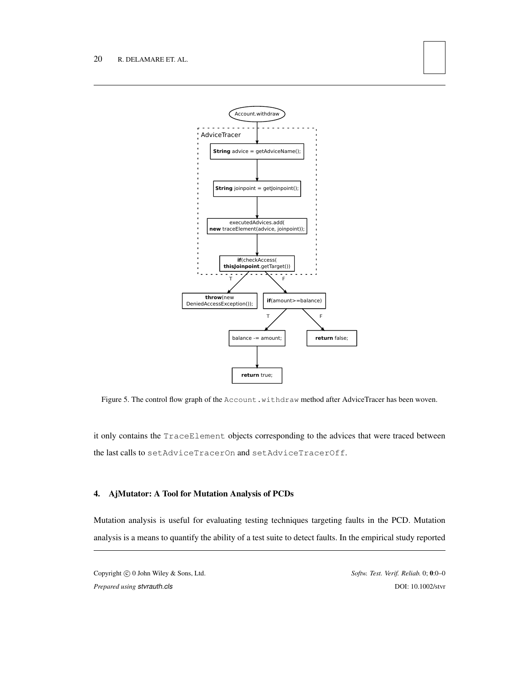20 R. DELAMARE ET. AL.



Figure 5. The control flow graph of the Account.withdraw method after AdviceTracer has been woven.

it only contains the TraceElement objects corresponding to the advices that were traced between the last calls to setAdviceTracerOn and setAdviceTracerOff.

## 4. AjMutator: A Tool for Mutation Analysis of PCDs

Mutation analysis is useful for evaluating testing techniques targeting faults in the PCD. Mutation analysis is a means to quantify the ability of a test suite to detect faults. In the empirical study reported

Copyright  $@$  0 John Wiley & Sons, Ltd.  $Softw. Test. Verify. Reliab. 0; 0:0-0$ *Prepared using stvrauth.cls* DOI: 10.1002/stvr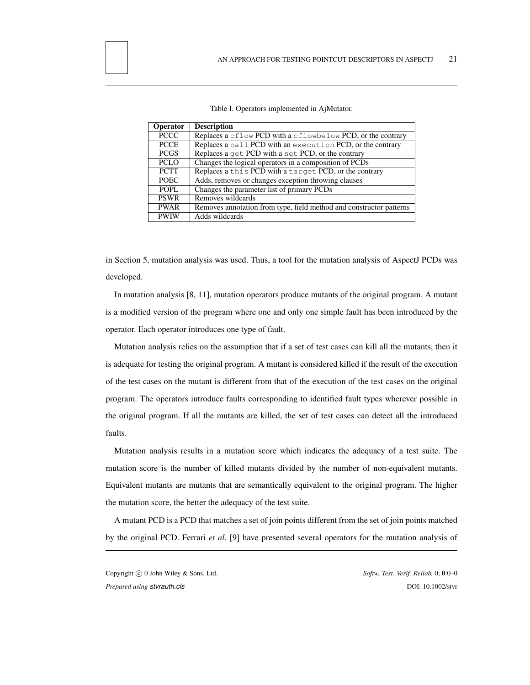| Operator    | <b>Description</b>                                                  |
|-------------|---------------------------------------------------------------------|
| <b>PCCC</b> | Replaces a cflow PCD with a cflowbelow PCD, or the contrary         |
| <b>PCCE</b> | Replaces a call PCD with an execution PCD, or the contrary          |
| <b>PCGS</b> | Replaces a get PCD with a set PCD, or the contrary                  |
| PCLO        | Changes the logical operators in a composition of PCDs              |
| <b>PCTT</b> | Replaces a this PCD with a target PCD, or the contrary              |
| <b>POEC</b> | Adds, removes or changes exception throwing clauses                 |
| POPL        | Changes the parameter list of primary PCDs                          |
| <b>PSWR</b> | Removes wildcards                                                   |
| <b>PWAR</b> | Removes annotation from type, field method and constructor patterns |
| <b>PWIW</b> | Adds wildcards                                                      |

|  | Table I. Operators implemented in AjMutator. |
|--|----------------------------------------------|
|  |                                              |

in Section 5, mutation analysis was used. Thus, a tool for the mutation analysis of AspectJ PCDs was developed.

In mutation analysis [8, 11], mutation operators produce mutants of the original program. A mutant is a modified version of the program where one and only one simple fault has been introduced by the operator. Each operator introduces one type of fault.

Mutation analysis relies on the assumption that if a set of test cases can kill all the mutants, then it is adequate for testing the original program. A mutant is considered killed if the result of the execution of the test cases on the mutant is different from that of the execution of the test cases on the original program. The operators introduce faults corresponding to identified fault types wherever possible in the original program. If all the mutants are killed, the set of test cases can detect all the introduced faults.

Mutation analysis results in a mutation score which indicates the adequacy of a test suite. The mutation score is the number of killed mutants divided by the number of non-equivalent mutants. Equivalent mutants are mutants that are semantically equivalent to the original program. The higher the mutation score, the better the adequacy of the test suite.

A mutant PCD is a PCD that matches a set of join points different from the set of join points matched by the original PCD. Ferrari *et al.* [9] have presented several operators for the mutation analysis of

*Prepared using stvrauth.cls* DOI: 10.1002/stvr

Copyright  $\odot$  0 John Wiley & Sons, Ltd. *Softw. Test. Verif. Reliab.* 0; 0:0–0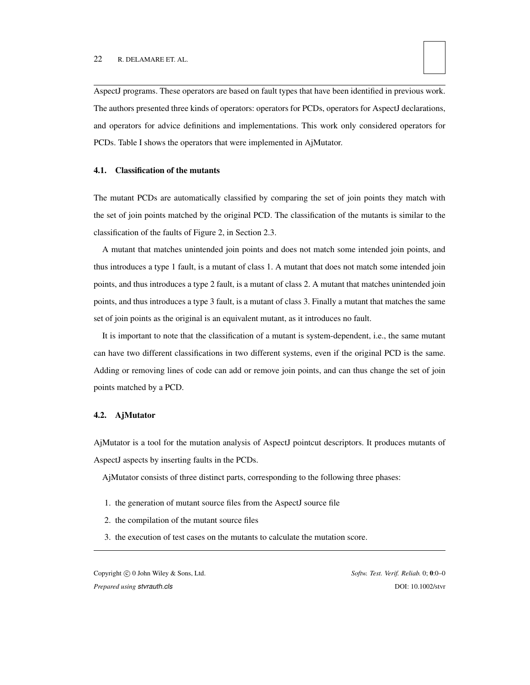AspectJ programs. These operators are based on fault types that have been identified in previous work. The authors presented three kinds of operators: operators for PCDs, operators for AspectJ declarations, and operators for advice definitions and implementations. This work only considered operators for PCDs. Table I shows the operators that were implemented in AjMutator.

#### 4.1. Classification of the mutants

The mutant PCDs are automatically classified by comparing the set of join points they match with the set of join points matched by the original PCD. The classification of the mutants is similar to the classification of the faults of Figure 2, in Section 2.3.

A mutant that matches unintended join points and does not match some intended join points, and thus introduces a type 1 fault, is a mutant of class 1. A mutant that does not match some intended join points, and thus introduces a type 2 fault, is a mutant of class 2. A mutant that matches unintended join points, and thus introduces a type 3 fault, is a mutant of class 3. Finally a mutant that matches the same set of join points as the original is an equivalent mutant, as it introduces no fault.

It is important to note that the classification of a mutant is system-dependent, i.e., the same mutant can have two different classifications in two different systems, even if the original PCD is the same. Adding or removing lines of code can add or remove join points, and can thus change the set of join points matched by a PCD.

#### 4.2. AjMutator

AjMutator is a tool for the mutation analysis of AspectJ pointcut descriptors. It produces mutants of AspectJ aspects by inserting faults in the PCDs.

AjMutator consists of three distinct parts, corresponding to the following three phases:

- 1. the generation of mutant source files from the AspectJ source file
- 2. the compilation of the mutant source files
- 3. the execution of test cases on the mutants to calculate the mutation score.

Copyright  $\odot$  0 John Wiley & Sons, Ltd. **Software Example 2018** Softw. Test. Verif. Reliab. 0; 0:0–0 *Prepared using stvrauth.cls* DOI: 10.1002/stvr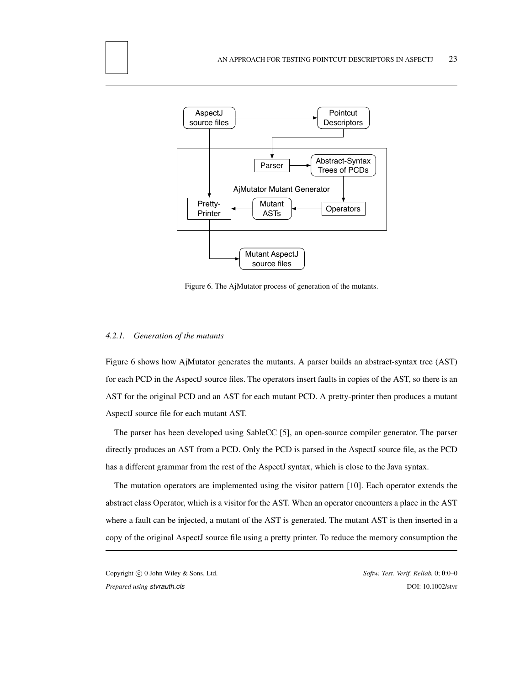

Figure 6. The AjMutator process of generation of the mutants.

#### *4.2.1. Generation of the mutants*

Figure 6 shows how AjMutator generates the mutants. A parser builds an abstract-syntax tree (AST) for each PCD in the AspectJ source files. The operators insert faults in copies of the AST, so there is an AST for the original PCD and an AST for each mutant PCD. A pretty-printer then produces a mutant AspectJ source file for each mutant AST.

The parser has been developed using SableCC [5], an open-source compiler generator. The parser directly produces an AST from a PCD. Only the PCD is parsed in the AspectJ source file, as the PCD has a different grammar from the rest of the AspectJ syntax, which is close to the Java syntax.

The mutation operators are implemented using the visitor pattern [10]. Each operator extends the abstract class Operator, which is a visitor for the AST. When an operator encounters a place in the AST where a fault can be injected, a mutant of the AST is generated. The mutant AST is then inserted in a copy of the original AspectJ source file using a pretty printer. To reduce the memory consumption the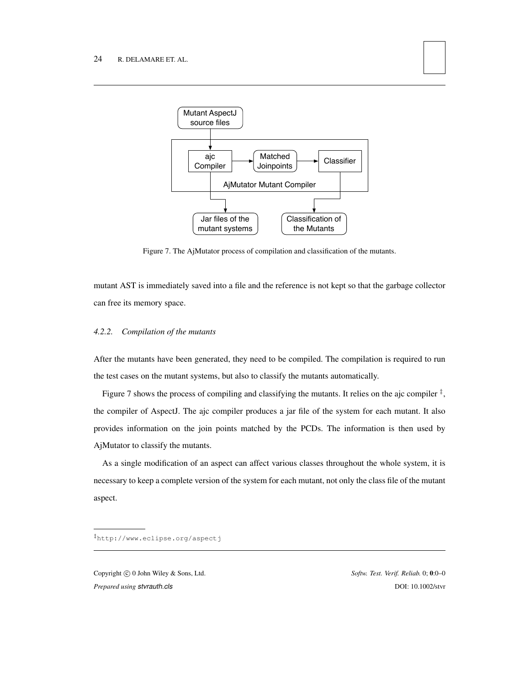

Figure 7. The AjMutator process of compilation and classification of the mutants.

mutant AST is immediately saved into a file and the reference is not kept so that the garbage collector can free its memory space.

#### *4.2.2. Compilation of the mutants*

After the mutants have been generated, they need to be compiled. The compilation is required to run the test cases on the mutant systems, but also to classify the mutants automatically.

Figure 7 shows the process of compiling and classifying the mutants. It relies on the ajc compiler  $\ddot{\tau}$ , the compiler of AspectJ. The ajc compiler produces a jar file of the system for each mutant. It also provides information on the join points matched by the PCDs. The information is then used by AjMutator to classify the mutants.

As a single modification of an aspect can affect various classes throughout the whole system, it is necessary to keep a complete version of the system for each mutant, not only the class file of the mutant aspect.

Copyright  $\odot$  0 John Wiley & Sons, Ltd. **Software Example 20** Softw. Test. Verif. Reliab. 0; 0:0–0 *Prepared using stvrauth.cls* DOI: 10.1002/stvr

<sup>‡</sup>http://www.eclipse.org/aspectj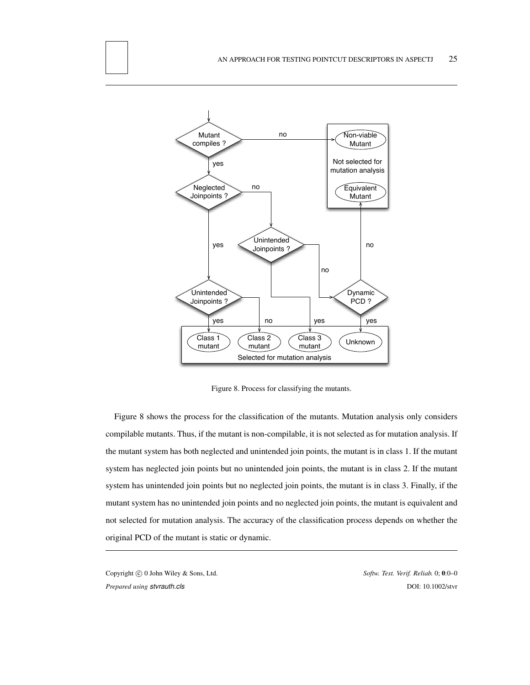

Figure 8. Process for classifying the mutants.

Figure 8 shows the process for the classification of the mutants. Mutation analysis only considers compilable mutants. Thus, if the mutant is non-compilable, it is not selected as for mutation analysis. If the mutant system has both neglected and unintended join points, the mutant is in class 1. If the mutant system has neglected join points but no unintended join points, the mutant is in class 2. If the mutant system has unintended join points but no neglected join points, the mutant is in class 3. Finally, if the mutant system has no unintended join points and no neglected join points, the mutant is equivalent and not selected for mutation analysis. The accuracy of the classification process depends on whether the original PCD of the mutant is static or dynamic.

Copyright  $\odot$  0 John Wiley & Sons, Ltd. **Software Example 2018** Softw. Test. Verif. Reliab. 0; 0:0–0 *Prepared using stvrauth.cls* DOI: 10.1002/stvr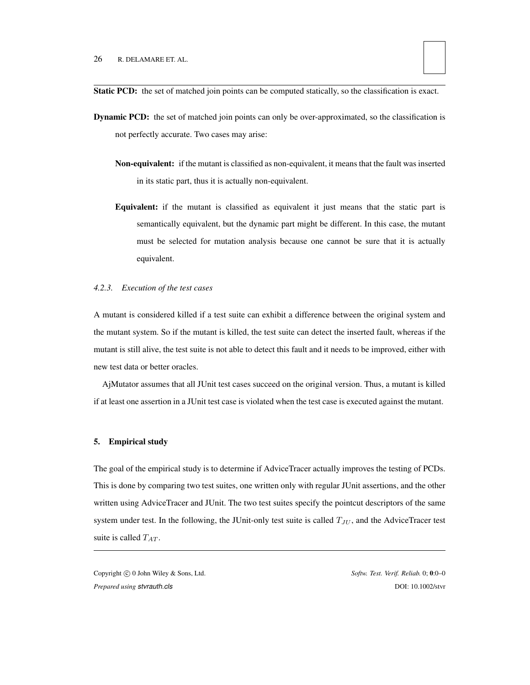**Static PCD:** the set of matched join points can be computed statically, so the classification is exact.

- Dynamic PCD: the set of matched join points can only be over-approximated, so the classification is not perfectly accurate. Two cases may arise:
	- Non-equivalent: if the mutant is classified as non-equivalent, it means that the fault was inserted in its static part, thus it is actually non-equivalent.
	- Equivalent: if the mutant is classified as equivalent it just means that the static part is semantically equivalent, but the dynamic part might be different. In this case, the mutant must be selected for mutation analysis because one cannot be sure that it is actually equivalent.

#### *4.2.3. Execution of the test cases*

A mutant is considered killed if a test suite can exhibit a difference between the original system and the mutant system. So if the mutant is killed, the test suite can detect the inserted fault, whereas if the mutant is still alive, the test suite is not able to detect this fault and it needs to be improved, either with new test data or better oracles.

AjMutator assumes that all JUnit test cases succeed on the original version. Thus, a mutant is killed if at least one assertion in a JUnit test case is violated when the test case is executed against the mutant.

#### 5. Empirical study

The goal of the empirical study is to determine if AdviceTracer actually improves the testing of PCDs. This is done by comparing two test suites, one written only with regular JUnit assertions, and the other written using AdviceTracer and JUnit. The two test suites specify the pointcut descriptors of the same system under test. In the following, the JUnit-only test suite is called  $T_{JU}$ , and the AdviceTracer test suite is called *TAT* .

Copyright  $\odot$  0 John Wiley & Sons, Ltd. **Software Example 2018** Softw. Test. Verif. Reliab. 0; 0:0–0 *Prepared using stvrauth.cls* DOI: 10.1002/stvr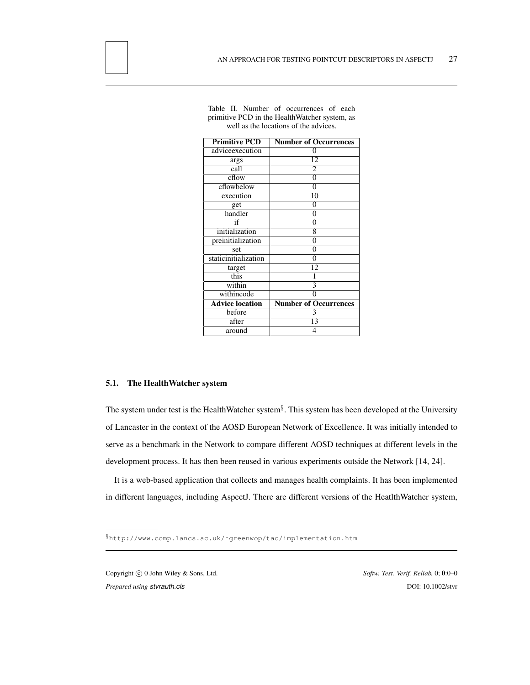| <b>Primitive PCD</b>     | <b>Number of Occurrences</b> |  |
|--------------------------|------------------------------|--|
| adviceexecution          | 0                            |  |
| args                     | 12                           |  |
| $\overline{\text{call}}$ | $\overline{2}$               |  |
| cflow                    | 0                            |  |
| cflowbelow               | 0                            |  |
| execution                | 10                           |  |
| get                      | 0                            |  |
| handler                  | $\overline{0}$               |  |
| if                       | $\overline{0}$               |  |
| initialization           | 8                            |  |
| preinitialization        | 0                            |  |
| set                      | 0                            |  |
| staticinitialization     | 0                            |  |
| target                   | 12                           |  |
| this                     |                              |  |
| within                   | 3                            |  |
| withincode               | 0                            |  |
| <b>Advice location</b>   | <b>Number of Occurrences</b> |  |
| before                   | 3                            |  |
| after                    | 13                           |  |
| around                   | 4                            |  |

Table II. Number of occurrences of each primitive PCD in the HealthWatcher system, as well as the locations of the advices.

#### 5.1. The HealthWatcher system

The system under test is the HealthWatcher system§. This system has been developed at the University of Lancaster in the context of the AOSD European Network of Excellence. It was initially intended to serve as a benchmark in the Network to compare different AOSD techniques at different levels in the development process. It has then been reused in various experiments outside the Network [14, 24].

It is a web-based application that collects and manages health complaints. It has been implemented in different languages, including AspectJ. There are different versions of the HeatlthWatcher system,

§http://www.comp.lancs.ac.uk/˜greenwop/tao/implementation.htm

*Prepared using stvrauth.cls* DOI: 10.1002/stvr

Copyright !c 0 John Wiley & Sons, Ltd. *Softw. Test. Verif. Reliab.* 0; 0:0–0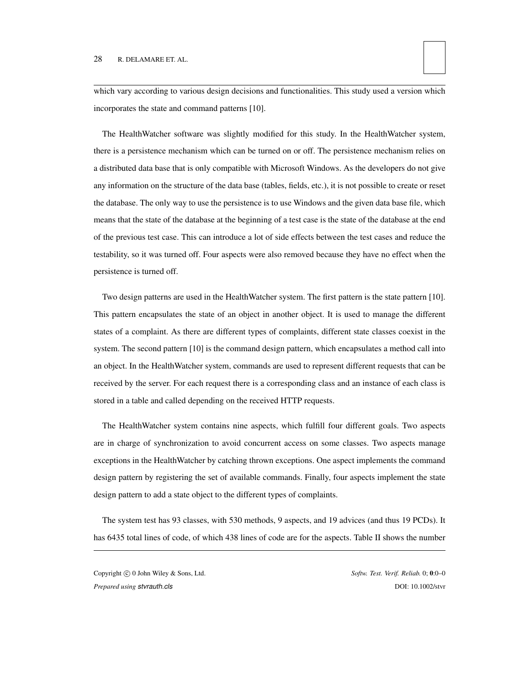which vary according to various design decisions and functionalities. This study used a version which incorporates the state and command patterns [10].

The HealthWatcher software was slightly modified for this study. In the HealthWatcher system, there is a persistence mechanism which can be turned on or off. The persistence mechanism relies on a distributed data base that is only compatible with Microsoft Windows. As the developers do not give any information on the structure of the data base (tables, fields, etc.), it is not possible to create or reset the database. The only way to use the persistence is to use Windows and the given data base file, which means that the state of the database at the beginning of a test case is the state of the database at the end of the previous test case. This can introduce a lot of side effects between the test cases and reduce the testability, so it was turned off. Four aspects were also removed because they have no effect when the persistence is turned off.

Two design patterns are used in the HealthWatcher system. The first pattern is the state pattern [10]. This pattern encapsulates the state of an object in another object. It is used to manage the different states of a complaint. As there are different types of complaints, different state classes coexist in the system. The second pattern [10] is the command design pattern, which encapsulates a method call into an object. In the HealthWatcher system, commands are used to represent different requests that can be received by the server. For each request there is a corresponding class and an instance of each class is stored in a table and called depending on the received HTTP requests.

The HealthWatcher system contains nine aspects, which fulfill four different goals. Two aspects are in charge of synchronization to avoid concurrent access on some classes. Two aspects manage exceptions in the HealthWatcher by catching thrown exceptions. One aspect implements the command design pattern by registering the set of available commands. Finally, four aspects implement the state design pattern to add a state object to the different types of complaints.

The system test has 93 classes, with 530 methods, 9 aspects, and 19 advices (and thus 19 PCDs). It has 6435 total lines of code, of which 438 lines of code are for the aspects. Table II shows the number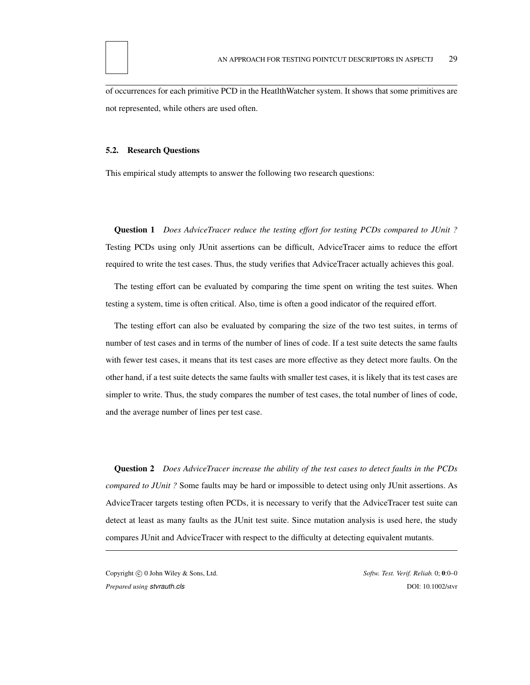of occurrences for each primitive PCD in the HeatlthWatcher system. It shows that some primitives are not represented, while others are used often.

#### 5.2. Research Questions

This empirical study attempts to answer the following two research questions:

Question 1 *Does AdviceTracer reduce the testing effort for testing PCDs compared to JUnit ?* Testing PCDs using only JUnit assertions can be difficult, AdviceTracer aims to reduce the effort required to write the test cases. Thus, the study verifies that AdviceTracer actually achieves this goal.

The testing effort can be evaluated by comparing the time spent on writing the test suites. When testing a system, time is often critical. Also, time is often a good indicator of the required effort.

The testing effort can also be evaluated by comparing the size of the two test suites, in terms of number of test cases and in terms of the number of lines of code. If a test suite detects the same faults with fewer test cases, it means that its test cases are more effective as they detect more faults. On the other hand, if a test suite detects the same faults with smaller test cases, it is likely that its test cases are simpler to write. Thus, the study compares the number of test cases, the total number of lines of code, and the average number of lines per test case.

Question 2 *Does AdviceTracer increase the ability of the test cases to detect faults in the PCDs compared to JUnit ?* Some faults may be hard or impossible to detect using only JUnit assertions. As AdviceTracer targets testing often PCDs, it is necessary to verify that the AdviceTracer test suite can detect at least as many faults as the JUnit test suite. Since mutation analysis is used here, the study compares JUnit and AdviceTracer with respect to the difficulty at detecting equivalent mutants.

*Prepared using stvrauth.cls* DOI: 10.1002/stvr

Copyright  $\odot$  0 John Wiley & Sons, Ltd. *Softw. Test. Verif. Reliab.* 0; 0:0–0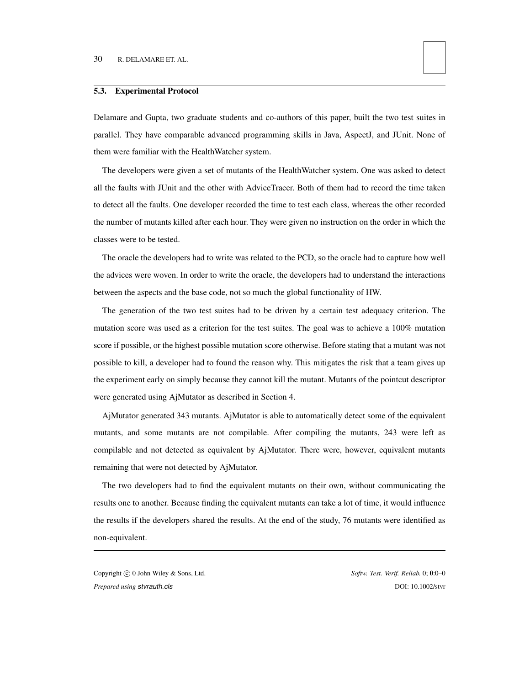### 5.3. Experimental Protocol

Delamare and Gupta, two graduate students and co-authors of this paper, built the two test suites in parallel. They have comparable advanced programming skills in Java, AspectJ, and JUnit. None of them were familiar with the HealthWatcher system.

The developers were given a set of mutants of the HealthWatcher system. One was asked to detect all the faults with JUnit and the other with AdviceTracer. Both of them had to record the time taken to detect all the faults. One developer recorded the time to test each class, whereas the other recorded the number of mutants killed after each hour. They were given no instruction on the order in which the classes were to be tested.

The oracle the developers had to write was related to the PCD, so the oracle had to capture how well the advices were woven. In order to write the oracle, the developers had to understand the interactions between the aspects and the base code, not so much the global functionality of HW.

The generation of the two test suites had to be driven by a certain test adequacy criterion. The mutation score was used as a criterion for the test suites. The goal was to achieve a 100% mutation score if possible, or the highest possible mutation score otherwise. Before stating that a mutant was not possible to kill, a developer had to found the reason why. This mitigates the risk that a team gives up the experiment early on simply because they cannot kill the mutant. Mutants of the pointcut descriptor were generated using AjMutator as described in Section 4.

AjMutator generated 343 mutants. AjMutator is able to automatically detect some of the equivalent mutants, and some mutants are not compilable. After compiling the mutants, 243 were left as compilable and not detected as equivalent by AjMutator. There were, however, equivalent mutants remaining that were not detected by AjMutator.

The two developers had to find the equivalent mutants on their own, without communicating the results one to another. Because finding the equivalent mutants can take a lot of time, it would influence the results if the developers shared the results. At the end of the study, 76 mutants were identified as non-equivalent.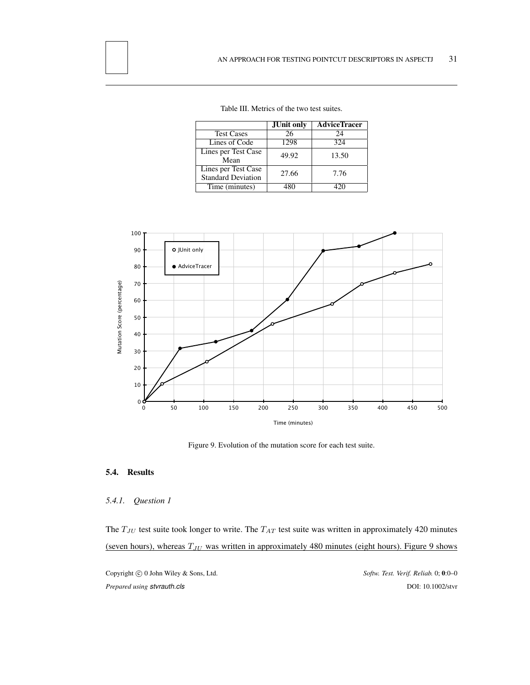|                                                  | <b>JUnit only</b> | <b>AdviceTracer</b> |
|--------------------------------------------------|-------------------|---------------------|
| <b>Test Cases</b>                                | 26                | 24                  |
| Lines of Code                                    | 1298              | 324                 |
| Lines per Test Case<br>Mean                      | 49.92             | 13.50               |
| Lines per Test Case<br><b>Standard Deviation</b> | 27.66             | 7.76                |
| Time (minutes)                                   |                   |                     |

Table III. Metrics of the two test suites.



Figure 9. Evolution of the mutation score for each test suite.

# 5.4. Results

# *5.4.1. Question 1*

The *TJU* test suite took longer to write. The *TAT* test suite was written in approximately 420 minutes (seven hours), whereas *TJU* was written in approximately 480 minutes (eight hours). Figure 9 shows

*Prepared using stvrauth.cls* DOI: 10.1002/stvr

Copyright  $@$  0 John Wiley & Sons, Ltd. *Softw. Test. Verif. Reliab.* 0; 0:0-0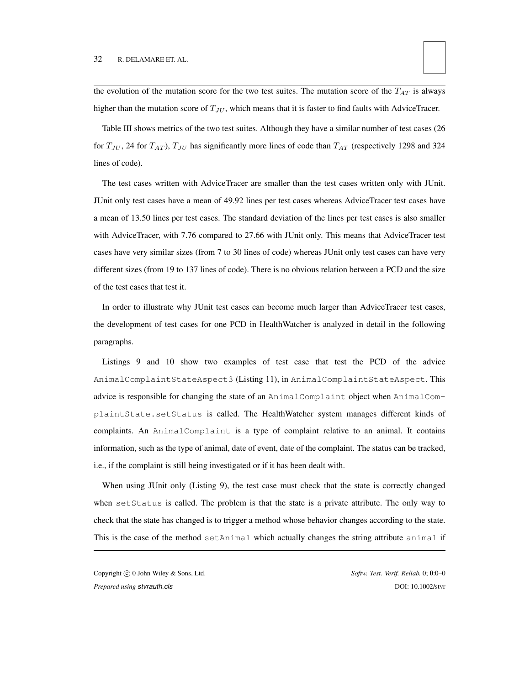the evolution of the mutation score for the two test suites. The mutation score of the *TAT* is always higher than the mutation score of  $T_{JU}$ , which means that it is faster to find faults with AdviceTracer.

Table III shows metrics of the two test suites. Although they have a similar number of test cases (26 for *TJU* , 24 for *TAT* ), *TJU* has significantly more lines of code than *TAT* (respectively 1298 and 324 lines of code).

The test cases written with AdviceTracer are smaller than the test cases written only with JUnit. JUnit only test cases have a mean of 49.92 lines per test cases whereas AdviceTracer test cases have a mean of 13.50 lines per test cases. The standard deviation of the lines per test cases is also smaller with AdviceTracer, with 7.76 compared to 27.66 with JUnit only. This means that AdviceTracer test cases have very similar sizes (from 7 to 30 lines of code) whereas JUnit only test cases can have very different sizes (from 19 to 137 lines of code). There is no obvious relation between a PCD and the size of the test cases that test it.

In order to illustrate why JUnit test cases can become much larger than AdviceTracer test cases, the development of test cases for one PCD in HealthWatcher is analyzed in detail in the following paragraphs.

Listings 9 and 10 show two examples of test case that test the PCD of the advice AnimalComplaintStateAspect3 (Listing 11), in AnimalComplaintStateAspect. This advice is responsible for changing the state of an AnimalComplaint object when AnimalComplaintState.setStatus is called. The HealthWatcher system manages different kinds of complaints. An AnimalComplaint is a type of complaint relative to an animal. It contains information, such as the type of animal, date of event, date of the complaint. The status can be tracked, i.e., if the complaint is still being investigated or if it has been dealt with.

When using JUnit only (Listing 9), the test case must check that the state is correctly changed when setStatus is called. The problem is that the state is a private attribute. The only way to check that the state has changed is to trigger a method whose behavior changes according to the state. This is the case of the method setAnimal which actually changes the string attribute animal if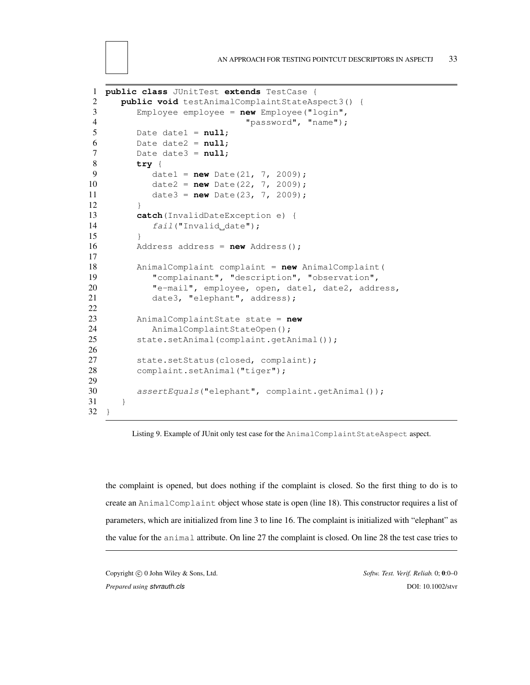```
1 public class JUnitTest extends TestCase {
2 public void testAnimalComplaintStateAspect3() {
3 Employee employee = new Employee("login",
4 "password", "name");
5 Date date1 = null;
6 Date date2 = null;
7 Date date3 = null;
8 try {
9 date1 = new Date(21, 7, 2009);
10 date2 = new Date(22, 7, 2009);
11 date3 = new Date(23, 7, 2009);
12 }
13 catch(InvalidDateException e) {
14 fail("Invalid date");
15 }
16 Address address = new Address();
17
18 AnimalComplaint complaint = new AnimalComplaint(
19 "complainant", "description", "observation",
20 "e-mail", employee, open, date1, date2, address,
21 date3, "elephant", address);
22
23 AnimalComplaintState state = new
24 AnimalComplaintStateOpen();
25 state.setAnimal(complaint.getAnimal());
26
27 state.setStatus(closed, complaint);
28 complaint.setAnimal("tiger");
29
30 assertEquals("elephant", complaint.getAnimal());
31 }
32 }
```
Listing 9. Example of JUnit only test case for the AnimalComplaintStateAspect aspect.

the complaint is opened, but does nothing if the complaint is closed. So the first thing to do is to create an AnimalComplaint object whose state is open (line 18). This constructor requires a list of parameters, which are initialized from line 3 to line 16. The complaint is initialized with "elephant" as the value for the animal attribute. On line 27 the complaint is closed. On line 28 the test case tries to

*Prepared using stvrauth.cls* DOI: 10.1002/stvr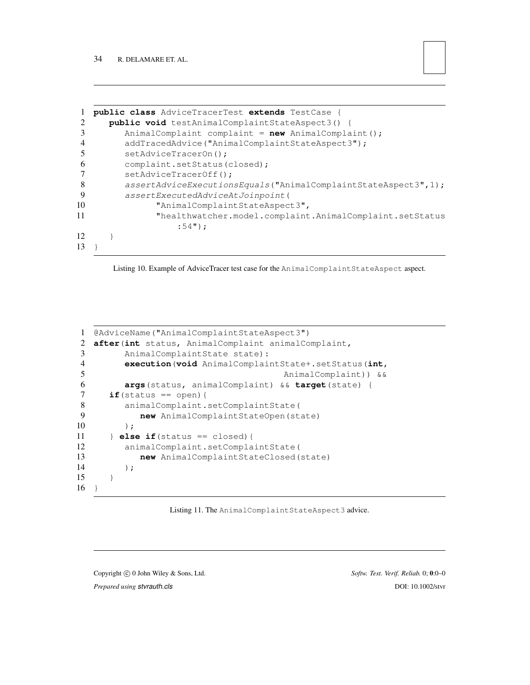```
1 public class AdviceTracerTest extends TestCase {
2 public void testAnimalComplaintStateAspect3() {
3 AnimalComplaint complaint = new AnimalComplaint();
4 addTracedAdvice("AnimalComplaintStateAspect3");
5 setAdviceTracerOn();
6 complaint.setStatus(closed);
7 setAdviceTracerOff();
8 assertAdviceExecutionsEquals("AnimalComplaintStateAspect3",1);
9 assertExecutedAdviceAtJoinpoint(
10 "AnimalComplaintStateAspect3",
11 "healthwatcher.model.complaint.AnimalComplaint.setStatus
                 :54");
12 }
13 }
```
Listing 10. Example of AdviceTracer test case for the AnimalComplaintStateAspect aspect.

```
1 @AdviceName("AnimalComplaintStateAspect3")
2 after(int status, AnimalComplaint animalComplaint,
3 AnimalComplaintState state):
4 execution(void AnimalComplaintState+.setStatus(int,
5 AnimalComplaint)) &&
6 args(status, animalComplaint) && target(state) {
7 \textbf{if}(\text{status} == \text{open})8 animalComplaint.setComplaintState(
9 new AnimalComplaintStateOpen(state)
10 );
11 } else if(status == closed){
12 animalComplaint.setComplaintState(
13 new AnimalComplaintStateClosed(state)
14 );
15 }
16 }
```
#### Listing 11. The AnimalComplaintStateAspect3 advice.

Copyright  $@$  0 John Wiley & Sons, Ltd.  $Softw. Test. Verify. Reliab. 0; 0:0-0$ 

*Prepared using stvrauth.cls* DOI: 10.1002/stvr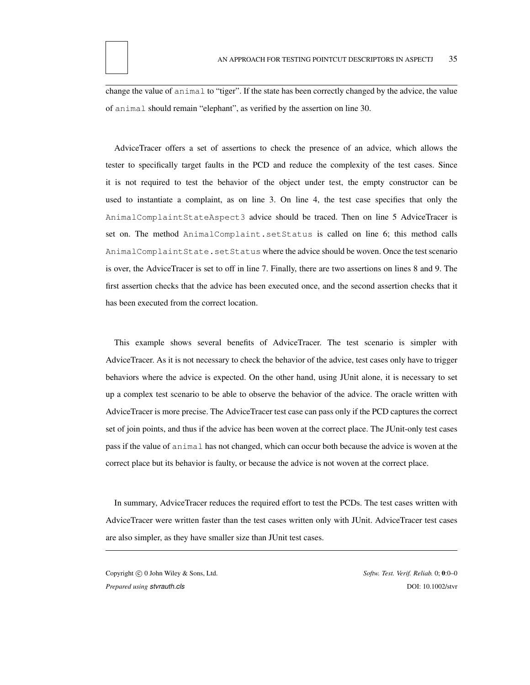change the value of animal to "tiger". If the state has been correctly changed by the advice, the value of animal should remain "elephant", as verified by the assertion on line 30.

AdviceTracer offers a set of assertions to check the presence of an advice, which allows the tester to specifically target faults in the PCD and reduce the complexity of the test cases. Since it is not required to test the behavior of the object under test, the empty constructor can be used to instantiate a complaint, as on line 3. On line 4, the test case specifies that only the AnimalComplaintStateAspect3 advice should be traced. Then on line 5 AdviceTracer is set on. The method AnimalComplaint.setStatus is called on line 6; this method calls AnimalComplaintState.setStatus where the advice should be woven. Once the test scenario is over, the AdviceTracer is set to off in line 7. Finally, there are two assertions on lines 8 and 9. The first assertion checks that the advice has been executed once, and the second assertion checks that it has been executed from the correct location.

This example shows several benefits of AdviceTracer. The test scenario is simpler with AdviceTracer. As it is not necessary to check the behavior of the advice, test cases only have to trigger behaviors where the advice is expected. On the other hand, using JUnit alone, it is necessary to set up a complex test scenario to be able to observe the behavior of the advice. The oracle written with AdviceTracer is more precise. The AdviceTracer test case can pass only if the PCD captures the correct set of join points, and thus if the advice has been woven at the correct place. The JUnit-only test cases pass if the value of animal has not changed, which can occur both because the advice is woven at the correct place but its behavior is faulty, or because the advice is not woven at the correct place.

In summary, AdviceTracer reduces the required effort to test the PCDs. The test cases written with AdviceTracer were written faster than the test cases written only with JUnit. AdviceTracer test cases are also simpler, as they have smaller size than JUnit test cases.

Copyright  $\odot$  0 John Wiley & Sons, Ltd. *Softw. Test. Verif. Reliab.* 0; 0:0–0 *Prepared using stvrauth.cls* DOI: 10.1002/stvr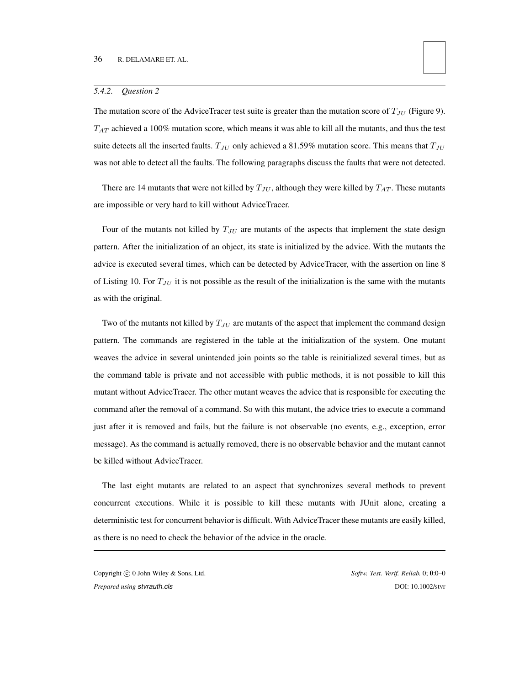### *5.4.2. Question 2*

The mutation score of the AdviceTracer test suite is greater than the mutation score of *TJU* (Figure 9). *TAT* achieved a 100% mutation score, which means it was able to kill all the mutants, and thus the test suite detects all the inserted faults. *TJU* only achieved a 81.59% mutation score. This means that *TJU* was not able to detect all the faults. The following paragraphs discuss the faults that were not detected.

There are 14 mutants that were not killed by *TJU* , although they were killed by *TAT* . These mutants are impossible or very hard to kill without AdviceTracer.

Four of the mutants not killed by *TJU* are mutants of the aspects that implement the state design pattern. After the initialization of an object, its state is initialized by the advice. With the mutants the advice is executed several times, which can be detected by AdviceTracer, with the assertion on line 8 of Listing 10. For *TJU* it is not possible as the result of the initialization is the same with the mutants as with the original.

Two of the mutants not killed by *TJU* are mutants of the aspect that implement the command design pattern. The commands are registered in the table at the initialization of the system. One mutant weaves the advice in several unintended join points so the table is reinitialized several times, but as the command table is private and not accessible with public methods, it is not possible to kill this mutant without AdviceTracer. The other mutant weaves the advice that is responsible for executing the command after the removal of a command. So with this mutant, the advice tries to execute a command just after it is removed and fails, but the failure is not observable (no events, e.g., exception, error message). As the command is actually removed, there is no observable behavior and the mutant cannot be killed without AdviceTracer.

The last eight mutants are related to an aspect that synchronizes several methods to prevent concurrent executions. While it is possible to kill these mutants with JUnit alone, creating a deterministic test for concurrent behavior is difficult. With AdviceTracer these mutants are easily killed, as there is no need to check the behavior of the advice in the oracle.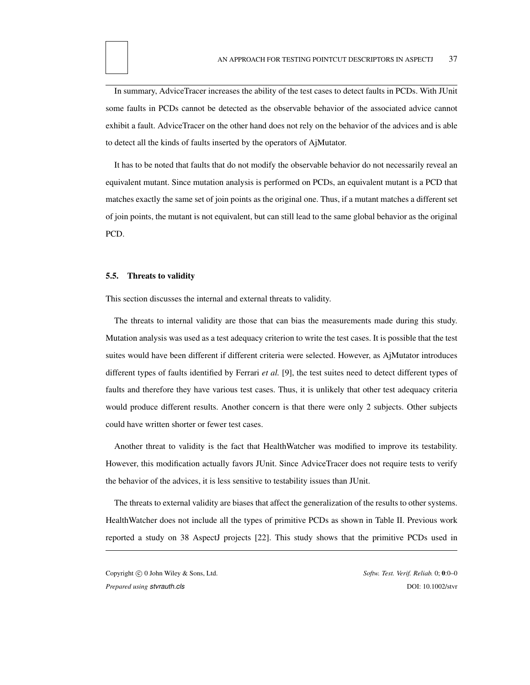In summary, AdviceTracer increases the ability of the test cases to detect faults in PCDs. With JUnit some faults in PCDs cannot be detected as the observable behavior of the associated advice cannot exhibit a fault. AdviceTracer on the other hand does not rely on the behavior of the advices and is able to detect all the kinds of faults inserted by the operators of AjMutator.

It has to be noted that faults that do not modify the observable behavior do not necessarily reveal an equivalent mutant. Since mutation analysis is performed on PCDs, an equivalent mutant is a PCD that matches exactly the same set of join points as the original one. Thus, if a mutant matches a different set of join points, the mutant is not equivalent, but can still lead to the same global behavior as the original PCD.

#### 5.5. Threats to validity

This section discusses the internal and external threats to validity.

The threats to internal validity are those that can bias the measurements made during this study. Mutation analysis was used as a test adequacy criterion to write the test cases. It is possible that the test suites would have been different if different criteria were selected. However, as AjMutator introduces different types of faults identified by Ferrari *et al.* [9], the test suites need to detect different types of faults and therefore they have various test cases. Thus, it is unlikely that other test adequacy criteria would produce different results. Another concern is that there were only 2 subjects. Other subjects could have written shorter or fewer test cases.

Another threat to validity is the fact that HealthWatcher was modified to improve its testability. However, this modification actually favors JUnit. Since AdviceTracer does not require tests to verify the behavior of the advices, it is less sensitive to testability issues than JUnit.

The threats to external validity are biases that affect the generalization of the results to other systems. HealthWatcher does not include all the types of primitive PCDs as shown in Table II. Previous work reported a study on 38 AspectJ projects [22]. This study shows that the primitive PCDs used in

Copyright  $\odot$  0 John Wiley & Sons, Ltd. *Softw. Test. Verif. Reliab.* 0; 0:0–0 *Prepared using stvrauth.cls* DOI: 10.1002/stvr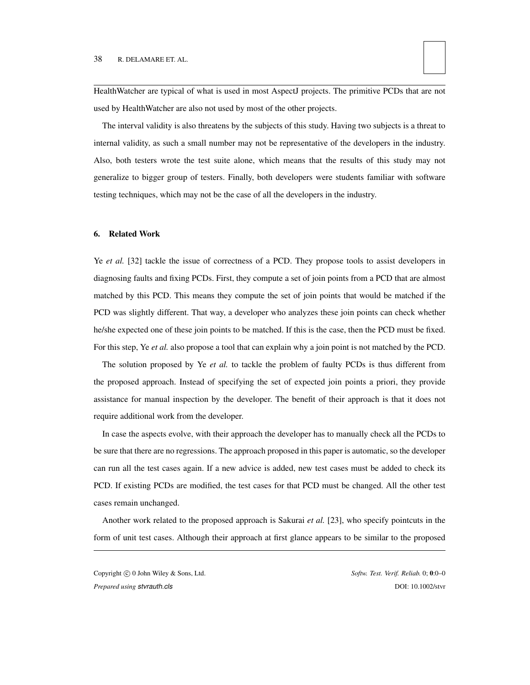The interval validity is also threatens by the subjects of this study. Having two subjects is a threat to internal validity, as such a small number may not be representative of the developers in the industry. Also, both testers wrote the test suite alone, which means that the results of this study may not generalize to bigger group of testers. Finally, both developers were students familiar with software testing techniques, which may not be the case of all the developers in the industry.

#### 6. Related Work

Ye *et al.* [32] tackle the issue of correctness of a PCD. They propose tools to assist developers in diagnosing faults and fixing PCDs. First, they compute a set of join points from a PCD that are almost matched by this PCD. This means they compute the set of join points that would be matched if the PCD was slightly different. That way, a developer who analyzes these join points can check whether he/she expected one of these join points to be matched. If this is the case, then the PCD must be fixed. For this step, Ye *et al.* also propose a tool that can explain why a join point is not matched by the PCD.

The solution proposed by Ye *et al.* to tackle the problem of faulty PCDs is thus different from the proposed approach. Instead of specifying the set of expected join points a priori, they provide assistance for manual inspection by the developer. The benefit of their approach is that it does not require additional work from the developer.

In case the aspects evolve, with their approach the developer has to manually check all the PCDs to be sure that there are no regressions. The approach proposed in this paper is automatic, so the developer can run all the test cases again. If a new advice is added, new test cases must be added to check its PCD. If existing PCDs are modified, the test cases for that PCD must be changed. All the other test cases remain unchanged.

Another work related to the proposed approach is Sakurai *et al.* [23], who specify pointcuts in the form of unit test cases. Although their approach at first glance appears to be similar to the proposed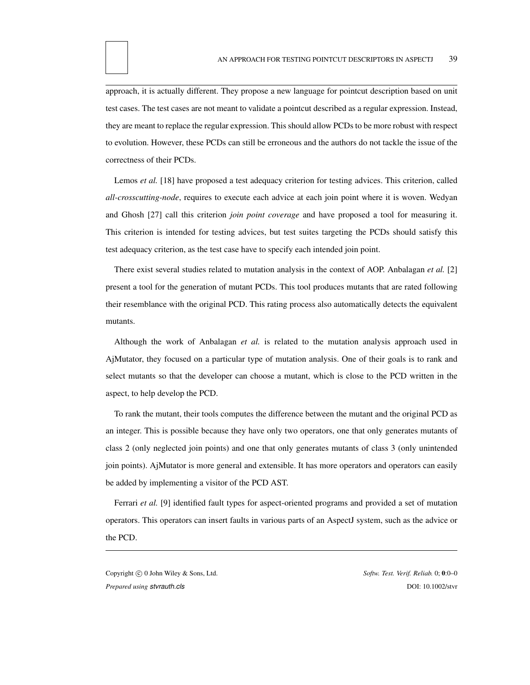approach, it is actually different. They propose a new language for pointcut description based on unit test cases. The test cases are not meant to validate a pointcut described as a regular expression. Instead, they are meant to replace the regular expression. This should allow PCDs to be more robust with respect to evolution. However, these PCDs can still be erroneous and the authors do not tackle the issue of the correctness of their PCDs.

Lemos *et al.* [18] have proposed a test adequacy criterion for testing advices. This criterion, called *all-crosscutting-node*, requires to execute each advice at each join point where it is woven. Wedyan and Ghosh [27] call this criterion *join point coverage* and have proposed a tool for measuring it. This criterion is intended for testing advices, but test suites targeting the PCDs should satisfy this test adequacy criterion, as the test case have to specify each intended join point.

There exist several studies related to mutation analysis in the context of AOP. Anbalagan *et al.* [2] present a tool for the generation of mutant PCDs. This tool produces mutants that are rated following their resemblance with the original PCD. This rating process also automatically detects the equivalent mutants.

Although the work of Anbalagan *et al.* is related to the mutation analysis approach used in AjMutator, they focused on a particular type of mutation analysis. One of their goals is to rank and select mutants so that the developer can choose a mutant, which is close to the PCD written in the aspect, to help develop the PCD.

To rank the mutant, their tools computes the difference between the mutant and the original PCD as an integer. This is possible because they have only two operators, one that only generates mutants of class 2 (only neglected join points) and one that only generates mutants of class 3 (only unintended join points). AjMutator is more general and extensible. It has more operators and operators can easily be added by implementing a visitor of the PCD AST.

Ferrari *et al.* [9] identified fault types for aspect-oriented programs and provided a set of mutation operators. This operators can insert faults in various parts of an AspectJ system, such as the advice or the PCD.

Copyright  $\odot$  0 John Wiley & Sons, Ltd. *Softw. Test. Verif. Reliab.* 0; 0:0–0 *Prepared using stvrauth.cls* DOI: 10.1002/stvr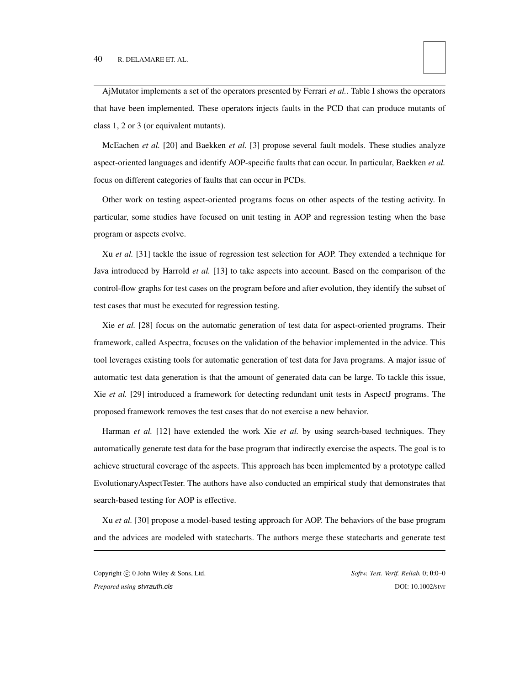AjMutator implements a set of the operators presented by Ferrari *et al.*. Table I shows the operators that have been implemented. These operators injects faults in the PCD that can produce mutants of class 1, 2 or 3 (or equivalent mutants).

McEachen *et al.* [20] and Baekken *et al.* [3] propose several fault models. These studies analyze aspect-oriented languages and identify AOP-specific faults that can occur. In particular, Baekken *et al.* focus on different categories of faults that can occur in PCDs.

Other work on testing aspect-oriented programs focus on other aspects of the testing activity. In particular, some studies have focused on unit testing in AOP and regression testing when the base program or aspects evolve.

Xu *et al.* [31] tackle the issue of regression test selection for AOP. They extended a technique for Java introduced by Harrold *et al.* [13] to take aspects into account. Based on the comparison of the control-flow graphs for test cases on the program before and after evolution, they identify the subset of test cases that must be executed for regression testing.

Xie *et al.* [28] focus on the automatic generation of test data for aspect-oriented programs. Their framework, called Aspectra, focuses on the validation of the behavior implemented in the advice. This tool leverages existing tools for automatic generation of test data for Java programs. A major issue of automatic test data generation is that the amount of generated data can be large. To tackle this issue, Xie *et al.* [29] introduced a framework for detecting redundant unit tests in AspectJ programs. The proposed framework removes the test cases that do not exercise a new behavior.

Harman *et al.* [12] have extended the work Xie *et al.* by using search-based techniques. They automatically generate test data for the base program that indirectly exercise the aspects. The goal is to achieve structural coverage of the aspects. This approach has been implemented by a prototype called EvolutionaryAspectTester. The authors have also conducted an empirical study that demonstrates that search-based testing for AOP is effective.

Xu *et al.* [30] propose a model-based testing approach for AOP. The behaviors of the base program and the advices are modeled with statecharts. The authors merge these statecharts and generate test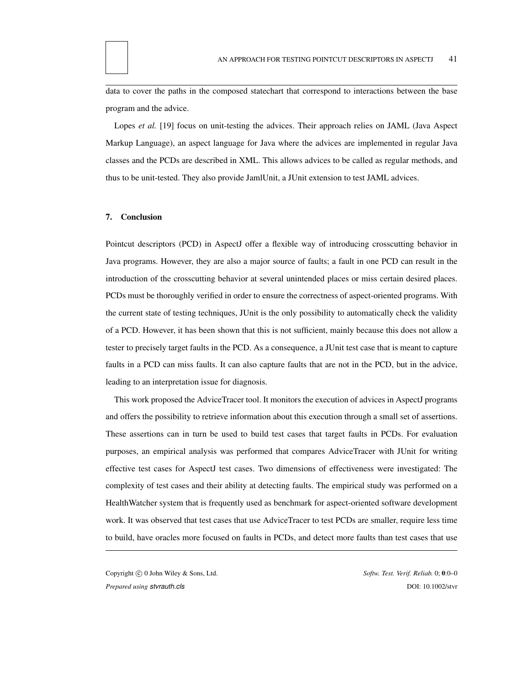data to cover the paths in the composed statechart that correspond to interactions between the base program and the advice.

Lopes *et al.* [19] focus on unit-testing the advices. Their approach relies on JAML (Java Aspect Markup Language), an aspect language for Java where the advices are implemented in regular Java classes and the PCDs are described in XML. This allows advices to be called as regular methods, and thus to be unit-tested. They also provide JamlUnit, a JUnit extension to test JAML advices.

#### 7. Conclusion

Pointcut descriptors (PCD) in AspectJ offer a flexible way of introducing crosscutting behavior in Java programs. However, they are also a major source of faults; a fault in one PCD can result in the introduction of the crosscutting behavior at several unintended places or miss certain desired places. PCDs must be thoroughly verified in order to ensure the correctness of aspect-oriented programs. With the current state of testing techniques, JUnit is the only possibility to automatically check the validity of a PCD. However, it has been shown that this is not sufficient, mainly because this does not allow a tester to precisely target faults in the PCD. As a consequence, a JUnit test case that is meant to capture faults in a PCD can miss faults. It can also capture faults that are not in the PCD, but in the advice, leading to an interpretation issue for diagnosis.

This work proposed the AdviceTracer tool. It monitors the execution of advices in AspectJ programs and offers the possibility to retrieve information about this execution through a small set of assertions. These assertions can in turn be used to build test cases that target faults in PCDs. For evaluation purposes, an empirical analysis was performed that compares AdviceTracer with JUnit for writing effective test cases for AspectJ test cases. Two dimensions of effectiveness were investigated: The complexity of test cases and their ability at detecting faults. The empirical study was performed on a HealthWatcher system that is frequently used as benchmark for aspect-oriented software development work. It was observed that test cases that use AdviceTracer to test PCDs are smaller, require less time to build, have oracles more focused on faults in PCDs, and detect more faults than test cases that use

*Prepared using stvrauth.cls* DOI: 10.1002/stvr

Copyright  $\odot$  0 John Wiley & Sons, Ltd. *Softw. Test. Verif. Reliab.* 0; 0:0–0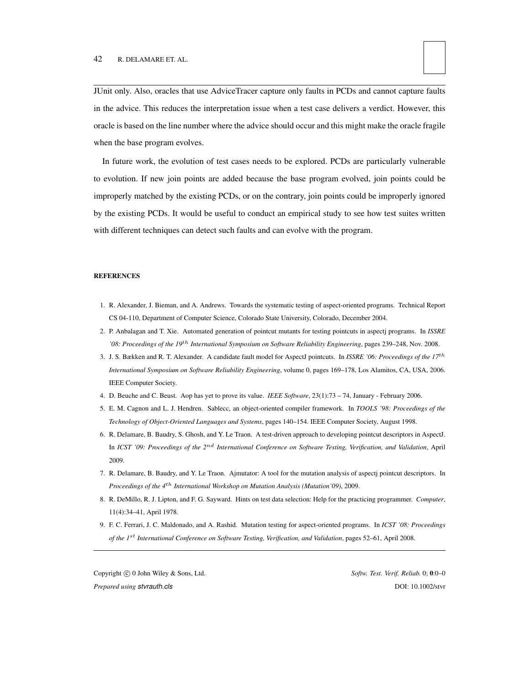JUnit only. Also, oracles that use AdviceTracer capture only faults in PCDs and cannot capture faults in the advice. This reduces the interpretation issue when a test case delivers a verdict. However, this oracle is based on the line number where the advice should occur and this might make the oracle fragile when the base program evolves.

In future work, the evolution of test cases needs to be explored. PCDs are particularly vulnerable to evolution. If new join points are added because the base program evolved, join points could be improperly matched by the existing PCDs, or on the contrary, join points could be improperly ignored by the existing PCDs. It would be useful to conduct an empirical study to see how test suites written with different techniques can detect such faults and can evolve with the program.

#### **REFERENCES**

- 1. R. Alexander, J. Bieman, and A. Andrews. Towards the systematic testing of aspect-oriented programs. Technical Report CS 04-110, Department of Computer Science, Colorado State University, Colorado, December 2004.
- 2. P. Anbalagan and T. Xie. Automated generation of pointcut mutants for testing pointcuts in aspectj programs. In *ISSRE '08: Proceedings of the 19th International Symposium on Software Reliability Engineering*, pages 239–248, Nov. 2008.
- 3. J. S. Bækken and R. T. Alexander. A candidate fault model for AspectJ pointcuts. In *ISSRE '06: Proceedings of the 17th International Symposium on Software Reliability Engineering*, volume 0, pages 169–178, Los Alamitos, CA, USA, 2006. IEEE Computer Society.
- 4. D. Beuche and C. Beust. Aop has yet to prove its value. *IEEE Software*, 23(1):73 74, January February 2006.
- 5. E. M. Cagnon and L. J. Hendren. Sablecc, an object-oriented compiler framework. In *TOOLS '98: Proceedings of the Technology of Object-Oriented Languages and Systems*, pages 140–154. IEEE Computer Society, August 1998.
- 6. R. Delamare, B. Baudry, S. Ghosh, and Y. Le Traon. A test-driven approach to developing pointcut descriptors in AspectJ. In *ICST '09: Proceedings of the 2nd International Conference on Software Testing, Verification, and Validation*, April 2009.
- 7. R. Delamare, B. Baudry, and Y. Le Traon. Ajmutator: A tool for the mutation analysis of aspectj pointcut descriptors. In *Proceedings of the 4th International Workshop on Mutation Analysis (Mutation'09)*, 2009.
- 8. R. DeMillo, R. J. Lipton, and F. G. Sayward. Hints on test data selection: Help for the practicing programmer. *Computer*, 11(4):34–41, April 1978.
- 9. F. C. Ferrari, J. C. Maldonado, and A. Rashid. Mutation testing for aspect-oriented programs. In *ICST '08: Proceedings of the 1st International Conference on Software Testing, Verification, and Validation*, pages 52–61, April 2008.

Copyright  $\odot$  0 John Wiley & Sons, Ltd. **Software Example 2018** Softw. Test. Verif. Reliab. 0; 0:0–0 *Prepared using stvrauth.cls* DOI: 10.1002/stvr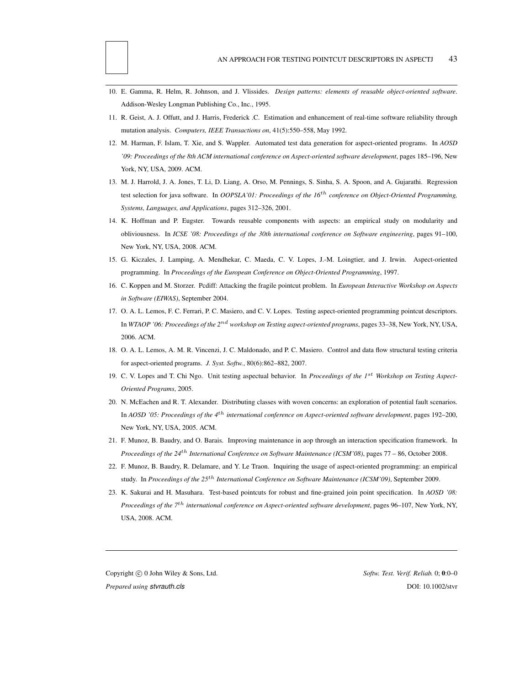- 10. E. Gamma, R. Helm, R. Johnson, and J. Vlissides. *Design patterns: elements of reusable object-oriented software*. Addison-Wesley Longman Publishing Co., Inc., 1995.
- 11. R. Geist, A. J. Offutt, and J. Harris, Frederick .C. Estimation and enhancement of real-time software reliability through mutation analysis. *Computers, IEEE Transactions on*, 41(5):550–558, May 1992.
- 12. M. Harman, F. Islam, T. Xie, and S. Wappler. Automated test data generation for aspect-oriented programs. In *AOSD '09: Proceedings of the 8th ACM international conference on Aspect-oriented software development*, pages 185–196, New York, NY, USA, 2009. ACM.
- 13. M. J. Harrold, J. A. Jones, T. Li, D. Liang, A. Orso, M. Pennings, S. Sinha, S. A. Spoon, and A. Gujarathi. Regression test selection for java software. In *OOPSLA'01: Proceedings of the 16th conference on Object-Oriented Programming, Systems, Languages, and Applications*, pages 312–326, 2001.
- 14. K. Hoffman and P. Eugster. Towards reusable components with aspects: an empirical study on modularity and obliviousness. In *ICSE '08: Proceedings of the 30th international conference on Software engineering*, pages 91–100, New York, NY, USA, 2008. ACM.
- 15. G. Kiczales, J. Lamping, A. Mendhekar, C. Maeda, C. V. Lopes, J.-M. Loingtier, and J. Irwin. Aspect-oriented programming. In *Proceedings of the European Conference on Object-Oriented Programming*, 1997.
- 16. C. Koppen and M. Storzer. Pcdiff: Attacking the fragile pointcut problem. In *European Interactive Workshop on Aspects in Software (EIWAS)*, September 2004.
- 17. O. A. L. Lemos, F. C. Ferrari, P. C. Masiero, and C. V. Lopes. Testing aspect-oriented programming pointcut descriptors. In *WTAOP '06: Proceedings of the 2nd workshop on Testing aspect-oriented programs*, pages 33–38, New York, NY, USA, 2006. ACM.
- 18. O. A. L. Lemos, A. M. R. Vincenzi, J. C. Maldonado, and P. C. Masiero. Control and data flow structural testing criteria for aspect-oriented programs. *J. Syst. Softw.*, 80(6):862–882, 2007.
- 19. C. V. Lopes and T. Chi Ngo. Unit testing aspectual behavior. In *Proceedings of the 1st Workshop on Testing Aspect-Oriented Programs*, 2005.
- 20. N. McEachen and R. T. Alexander. Distributing classes with woven concerns: an exploration of potential fault scenarios. In *AOSD '05: Proceedings of the 4th international conference on Aspect-oriented software development*, pages 192–200, New York, NY, USA, 2005. ACM.
- 21. F. Munoz, B. Baudry, and O. Barais. Improving maintenance in aop through an interaction specification framework. In *Proceedings of the 24th International Conference on Software Maintenance (ICSM'08)*, pages 77 – 86, October 2008.
- 22. F. Munoz, B. Baudry, R. Delamare, and Y. Le Traon. Inquiring the usage of aspect-oriented programming: an empirical study. In *Proceedings of the 25th International Conference on Software Maintenance (ICSM'09)*, September 2009.
- 23. K. Sakurai and H. Masuhara. Test-based pointcuts for robust and fine-grained join point specification. In *AOSD '08: Proceedings of the 7th international conference on Aspect-oriented software development*, pages 96–107, New York, NY, USA, 2008. ACM.